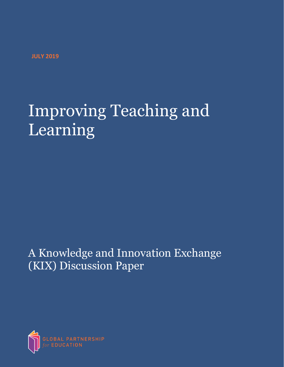**JULY 2019**

# Improving Teaching and Learning

A Knowledge and Innovation Exchange (KIX) Discussion Paper

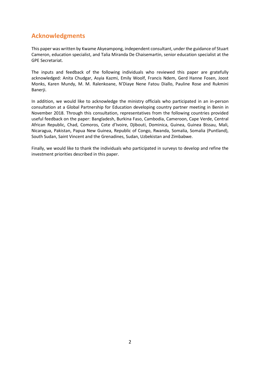## **Acknowledgments**

This paper was written by Kwame Akyeampong, independent consultant, under the guidance of Stuart Cameron, education specialist, and Talia Miranda De Chaisemartin, senior education specialist at the GPE Secretariat.

The inputs and feedback of the following individuals who reviewed this paper are gratefully acknowledged: Anita Chudgar, Asyia Kazmi, Emily Woolf, Francis Ndem, Gerd Hanne Fosen, Joost Monks, Karen Mundy, M. M. Ralenkoane, N'Diaye Nene Fatou Diallo, Pauline Rose and Rukmini Banerji.

In addition, we would like to acknowledge the ministry officials who participated in an in-person consultation at a Global Partnership for Education developing country partner meeting in Benin in November 2018. Through this consultation, representatives from the following countries provided useful feedback on the paper: Bangladesh, Burkina Faso, Cambodia, Cameroon, Cape Verde, Central African Republic, Chad, Comoros, Cote d'Ivoire, Djibouti, Dominica, Guinea, Guinea Bissau, Mali, Nicaragua, Pakistan, Papua New Guinea, Republic of Congo, Rwanda, Somalia, Somalia (Puntland), South Sudan, Saint Vincent and the Grenadines, Sudan, Uzbekistan and Zimbabwe.

Finally, we would like to thank the individuals who participated in surveys to develop and refine the investment priorities described in this paper.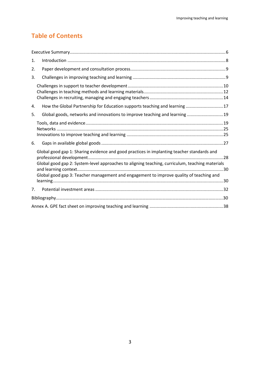## **Table of Contents**

| 1.                                                                                                                                                                                                                                                                                       |  |  |  |  |
|------------------------------------------------------------------------------------------------------------------------------------------------------------------------------------------------------------------------------------------------------------------------------------------|--|--|--|--|
| 2.                                                                                                                                                                                                                                                                                       |  |  |  |  |
| 3.                                                                                                                                                                                                                                                                                       |  |  |  |  |
|                                                                                                                                                                                                                                                                                          |  |  |  |  |
| How the Global Partnership for Education supports teaching and learning 17<br>4.                                                                                                                                                                                                         |  |  |  |  |
| Global goods, networks and innovations to improve teaching and learning  19<br>5.                                                                                                                                                                                                        |  |  |  |  |
|                                                                                                                                                                                                                                                                                          |  |  |  |  |
| 6.                                                                                                                                                                                                                                                                                       |  |  |  |  |
| Global good gap 1: Sharing evidence and good practices in implanting teacher standards and<br>Global good gap 2: System-level approaches to aligning teaching, curriculum, teaching materials<br>Global good gap 3: Teacher management and engagement to improve quality of teaching and |  |  |  |  |
| 7.                                                                                                                                                                                                                                                                                       |  |  |  |  |
|                                                                                                                                                                                                                                                                                          |  |  |  |  |
|                                                                                                                                                                                                                                                                                          |  |  |  |  |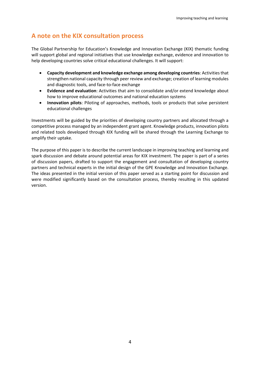## **A note on the KIX consultation process**

The Global Partnership for Education's Knowledge and Innovation Exchange (KIX) thematic funding will support global and regional initiatives that use knowledge exchange, evidence and innovation to help developing countries solve critical educational challenges. It will support:

- **Capacity development and knowledge exchange among developing countries**: Activities that strengthen national capacity through peer review and exchange; creation of learning modules and diagnostic tools, and face-to-face exchange
- **Evidence and evaluation**: Activities that aim to consolidate and/or extend knowledge about how to improve educational outcomes and national education systems
- **Innovation pilots**: Piloting of approaches, methods, tools or products that solve persistent educational challenges

Investments will be guided by the priorities of developing country partners and allocated through a competitive process managed by an independent grant agent. Knowledge products, innovation pilots and related tools developed through KIX funding will be shared through the Learning Exchange to amplify their uptake.

The purpose of this paper is to describe the current landscape in improving teaching and learning and spark discussion and debate around potential areas for KIX investment. The paper is part of a series of discussion papers, drafted to support the engagement and consultation of developing country partners and technical experts in the initial design of the GPE Knowledge and Innovation Exchange. The ideas presented in the initial version of this paper served as a starting point for discussion and were modified significantly based on the consultation process, thereby resulting in this updated version.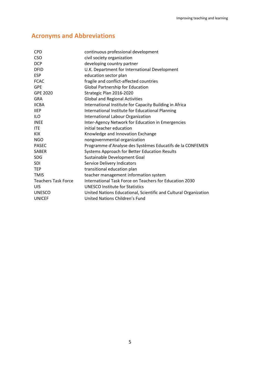## **Acronyms and Abbreviations**

| <b>CPD</b>                 | continuous professional development                              |  |  |  |
|----------------------------|------------------------------------------------------------------|--|--|--|
| <b>CSO</b>                 | civil society organization                                       |  |  |  |
| <b>DCP</b>                 | developing country partner                                       |  |  |  |
| <b>DFID</b>                | U.K. Department for International Development                    |  |  |  |
| <b>ESP</b>                 | education sector plan                                            |  |  |  |
| <b>FCAC</b>                | fragile and conflict-affected countries                          |  |  |  |
| <b>GPE</b>                 | <b>Global Partnership for Education</b>                          |  |  |  |
| GPE 2020                   | Strategic Plan 2016-2020                                         |  |  |  |
| <b>GRA</b>                 | <b>Global and Regional Activities</b>                            |  |  |  |
| <b>IICBA</b>               | International Institute for Capacity Building in Africa          |  |  |  |
| <b>IIEP</b>                | International Institute for Educational Planning                 |  |  |  |
| <b>ILO</b>                 | International Labour Organization                                |  |  |  |
| <b>INEE</b>                | Inter-Agency Network for Education in Emergencies                |  |  |  |
| <b>ITE</b>                 | initial teacher education                                        |  |  |  |
| <b>KIX</b>                 | Knowledge and Innovation Exchange                                |  |  |  |
| <b>NGO</b>                 | nongovernmental organization                                     |  |  |  |
| <b>PASEC</b>               | Programme d'Analyse des Systèmes Educatifs de la CONFEMEN        |  |  |  |
| <b>SABER</b>               | Systems Approach for Better Education Results                    |  |  |  |
| <b>SDG</b>                 | Sustainable Development Goal                                     |  |  |  |
| <b>SDI</b>                 | Service Delivery Indicators                                      |  |  |  |
| <b>TEP</b>                 | transitional education plan                                      |  |  |  |
| <b>TMIS</b>                | teacher management information system                            |  |  |  |
| <b>Teachers Task Force</b> | International Task Force on Teachers for Education 2030          |  |  |  |
| UIS                        | <b>UNESCO Institute for Statistics</b>                           |  |  |  |
| <b>UNESCO</b>              | United Nations Educational, Scientific and Cultural Organization |  |  |  |
| <b>UNICEF</b>              | United Nations Children's Fund                                   |  |  |  |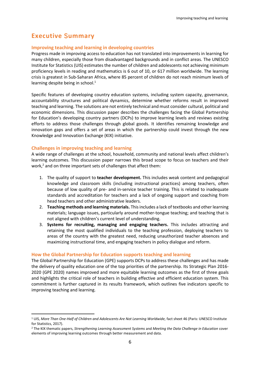## <span id="page-5-0"></span>**Executive Summary**

#### **Improving teaching and learning in developing countries**

Progress made in improving access to education has not translated into improvements in learning for many children, especially those from disadvantaged backgrounds and in conflict areas. The UNESCO Institute for Statistics (UIS) estimates the number of children and adolescents not achieving minimum proficiency levels in reading and mathematics is 6 out of 10, or 617 million worldwide. The learning crisis is greatest in Sub-Saharan Africa, where 85 percent of children do not reach minimum levels of learning despite being in school. $1$ 

Specific features of developing country education systems, including system capacity, governance, accountability structures and political dynamics, determine whether reforms result in improved teaching and learning. The solutions are not entirely technical and must consider cultural, political and economic dimensions. This discussion paper describes the challenges facing the Global Partnership for Education's developing country partners (DCPs) to improve learning levels and reviews existing efforts to address those challenges through global goods. It identifies remaining knowledge and innovation gaps and offers a set of areas in which the partnership could invest through the new Knowledge and Innovation Exchange (KIX) initiative.

#### **Challenges in improving teaching and learning**

 $\overline{a}$ 

A wide range of challenges at the school, household, community and national levels affect children's learning outcomes. This discussion paper narrows this broad scope to focus on teachers and their work,<sup>2</sup> and on three important sets of challenges that affect them:

- 1. The quality of support to **teacher development.** This includes weak content and pedagogical knowledge and classroom skills (including instructional practices) among teachers, often because of low quality of pre- and in-service teacher training. This is related to inadequate standards and accreditation for teachers and a lack of ongoing support and coaching from head teachers and other administrative leaders.
- 2. **Teaching methods and learning materials.** This includes a lack of textbooks and other learning materials; language issues, particularly around mother-tongue teaching; and teaching that is not aligned with children's current level of understanding.
- 3. **Systems for recruiting, managing and engaging teachers.** This includes attracting and retaining the most qualified individuals to the teaching profession, deploying teachers to areas of the country with the greatest need, reducing unauthorized teacher absences and maximizing instructional time, and engaging teachers in policy dialogue and reform.

#### **How the Global Partnership for Education supports teaching and learning**

The Global Partnership for Education (GPE) supports DCPs to address these challenges and has made the delivery of quality education one of the top priorities of the partnership. Its Strategic Plan 2016- 2020 (GPE 2020) names improved and more equitable learning outcomes as the first of three goals and highlights the critical role of teachers in building effective and efficient education system. This commitment is further captured in its results framework, which outlines five indicators specific to improving teaching and learning.

<sup>1</sup> UIS, *More Than One-Half of Children and Adolescents Are Not Learning Worldwide,* fact sheet 46 (Paris: UNESCO Institute for Statistics, 2017).

<sup>2</sup> The KIX thematic papers, *Strengthening Learning Assessment Systems* and *Meeting the Data Challenge in Education* cover elements of improving learning outcomes through better measurement and data.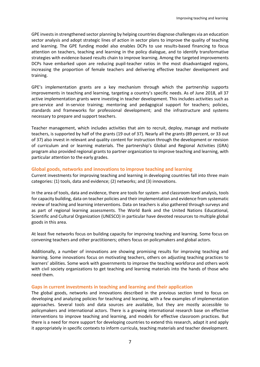GPE invests in strengthened sector planning by helping countries diagnose challenges via an education sector analysis and adopt strategic lines of action in sector plans to improve the quality of teaching and learning. The GPE funding model also enables DCPs to use results-based financing to focus attention on teachers, teaching and learning in the policy dialogue, and to identify transformative strategies with evidence-based results chain to improve learning. Among the targeted improvements DCPs have embarked upon are reducing pupil-teacher ratios in the most disadvantaged regions, increasing the proportion of female teachers and delivering effective teacher development and training.

GPE's implementation grants are a key mechanism through which the partnership supports improvements in teaching and learning, targeting a country's specific needs. As of June 2018, all 37 active implementation grants were investing in teacher development. This includes activities such as pre-service and in-service training; mentoring and pedagogical support for teachers; policies, standards and frameworks for professional development; and the infrastructure and systems necessary to prepare and support teachers.

Teacher management, which includes activities that aim to recruit, deploy, manage and motivate teachers, is supported by half of the grants (19 out of 37). Nearly all the grants (89 percent, or 33 out of 37) also invest in relevant and quality content for instruction through the development or revision of curriculum and or learning materials. The partnership's Global and Regional Activities (GRA) program also provided regional grants to partner organization to improve teaching and learning, with particular attention to the early grades.

#### **Global goods, networks and innovations to improve teaching and learning**

Current investments for improving teaching and learning in developing countries fall into three main categories: (1) tools, data and evidence; (2) networks; and (3) innovations.

In the area of tools, data and evidence, there are tools for system- and classroom-level analysis, tools for capacity building, data on teacher policies and their implementation and evidence from systematic review of teaching and learning interventions. Data on teachers is also gathered through surveys and as part of regional learning assessments. The World Bank and the United Nations Educational, Scientific and Cultural Organization (UNESCO) in particular have devoted resources to multiple global goods in this area.

At least five networks focus on building capacity for improving teaching and learning. Some focus on convening teachers and other practitioners; others focus on policymakers and global actors.

Additionally, a number of innovations are showing promising results for improving teaching and learning. Some innovations focus on motivating teachers, others on adjusting teaching practices to learners' abilities. Some work with governments to improve the teaching workforce and others work with civil society organizations to get teaching and learning materials into the hands of those who need them.

#### **Gaps in current investments in teaching and learning and their application**

The global goods, networks and innovations described in the previous section tend to focus on developing and analyzing policies for teaching and learning, with a few examples of implementation approaches. Several tools and data sources are available, but they are mostly accessible to policymakers and international actors. There is a growing international research base on effective interventions to improve teaching and learning, and models for effective classroom practices. But there is a need for more support for developing countries to extend this research, adapt it and apply it appropriately in specific contexts to inform curricula, teaching materials and teacher development.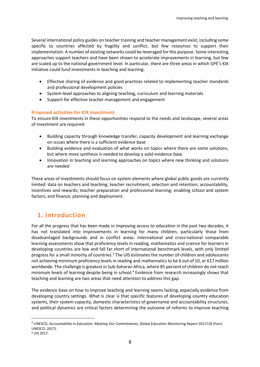Several international policy guides on teacher training and teacher management exist, including some specific to countries affected by fragility and conflict, but few resources to support their implementation. A number of existing networks could be leveraged for this purpose. Some interesting approaches support teachers and have been shown to accelerate improvements in learning, but few are scaled up to the national government level. In particular, there are three areas in which GPE's KIX initiative could fund investments in teaching and learning:

- Effective sharing of evidence and good practices related to implementing teacher standards and professional development policies
- System-level approaches to aligning teaching, curriculum and learning materials
- Support for effective teacher management and engagement

#### **Proposed activities for KIX investment**

To ensure KIX investments in these opportunities respond to the needs and landscape, several areas of investment are required:

- Building capacity through knowledge transfer, capacity development and learning exchange on issues where there is a sufficient evidence base
- Building evidence and evaluation of what works on topics where there are some solutions, but where more synthesis is needed to develop a solid evidence base
- Innovation in teaching and learning approaches on topics where new thinking and solutions are needed

These areas of investments should focus on system elements where global public goods are currently limited: data on teachers and teaching; teacher recruitment, selection and retention; accountability, incentives and rewards; teacher preparation and professional learning; enabling school and system factors; and finance, planning and deployment.

## <span id="page-7-0"></span>**1. Introduction**

For all the progress that has been made in improving access to education in the past two decades, it has not translated into improvements in learning for many children, particularly those from disadvantaged backgrounds and in conflict areas. International and cross-national comparable learning assessments show that proficiency levels in reading, mathematics and science for learners in developing countries are low and fall far short of international benchmark levels, with only limited progress for a small minority of countries.<sup>3</sup> The UIS estimates the number of children and adolescents not achieving minimum proficiency levels in reading and mathematics to be 6 out of 10, or 617 million worldwide. The challenge is greatest in Sub-Saharan Africa, where 85 percent of children do not reach minimum levels of learning despite being in school.<sup>4</sup> Evidence from research increasingly shows that teaching and learning are two areas that need attention to address this gap.

The evidence base on how to improve teaching and learning seems lacking, especially evidence from developing country settings. What is clear is that specific features of developing country education systems, their system capacity, domestic characteristics of governance and accountability structures, and political dynamics are critical factors determining the outcome of reforms to improve teaching

<sup>3</sup> UNESCO, *Accountability in Education: Meeting Our Commitments,* Global Education Monitoring Report 2017/18 (Paris: UNESCO, 2017).

<sup>4</sup> UIS 2017.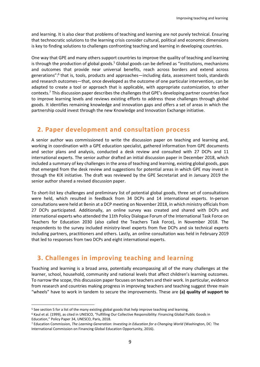and learning. It is also clear that problems of teaching and learning are not purely technical. Ensuring that technocratic solutions to the learning crisis consider cultural, political and economic dimensions is key to finding solutions to challenges confronting teaching and learning in developing countries.

One way that GPE and many others support countries to improve the quality of teaching and learning is through the production of global goods.<sup>5</sup> Global goods can be defined as "institutions, mechanisms and outcomes that provide near universal benefits, reach across borders and extend across generations":<sup>6</sup> that is, tools, products and approaches—including data, assessment tools, standards and research outcomes—that, once developed as the outcome of one particular intervention, can be adapted to create a tool or approach that is applicable, with appropriate customization, to other contexts.<sup>7</sup> This discussion paper describes the challenges that GPE's developing partner countries face to improve learning levels and reviews existing efforts to address those challenges through global goods. It identifies remaining knowledge and innovation gaps and offers a set of areas in which the partnership could invest through the new Knowledge and Innovation Exchange initiative.

## <span id="page-8-0"></span>**2. Paper development and consultation process**

A senior author was commissioned to write the discussion paper on teaching and learning and, working in coordination with a GPE education specialist, gathered information from GPE documents and sector plans and analysis, conducted a desk review and consulted with 27 DCPs and 11 international experts. The senior author drafted an initial discussion paper in December 2018, which included a summary of key challenges in the area of teaching and learning, existing global goods, gaps that emerged from the desk review and suggestions for potential areas in which GPE may invest in through the KIX initiative. The draft was reviewed by the GPE Secretariat and in January 2019 the senior author shared a revised discussion paper.

To short-list key challenges and preliminary list of potential global goods, three set of consultations were held, which resulted in feedback from 34 DCPs and 14 international experts. In-person consultations were held at Benin at a DCP meeting on November 2018, in which ministry officials from 27 DCPs participated. Additionally, an online survey was created and shared with DCPs and international experts who attended the 11th Policy Dialogue Forum of the International Task Force on Teachers for Education 2030 (also called the Teachers Task Force), in November 2018. The respondents to the survey included ministry-level experts from five DCPs and six technical experts including partners, practitioners and others. Lastly, an online consultation was held in February 2019 that led to responses from two DCPs and eight international experts.

## <span id="page-8-1"></span>**3. Challenges in improving teaching and learning**

Teaching and learning is a broad area, potentially encompassing all of the many challenges at the learner, school, household, community and national levels that affect children's learning outcomes. To narrow the scope, this discussion paper focuses on teachers and their work. In particular, evidence from research and countries making progress in improving teachers and teaching suggest three main "wheels" have to work in tandem to secure the improvements. These are **(a) quality of support to** 

<sup>5</sup> See section 5 for a list of the many existing global goods that help improve teaching and learning.

<sup>6</sup> Kaul et al. (1999), as cited in UNESCO, "Fulfilling Our Collective Responsibility: Financing Global Public Goods in Education," Policy Paper 34, UNESCO, Paris, 2018.

<sup>7</sup> Education Commission, *The Learning Generation: Investing in Education for a Changing World* (Washington, DC: The International Commission on Financing Global Education Opportunity, 2016).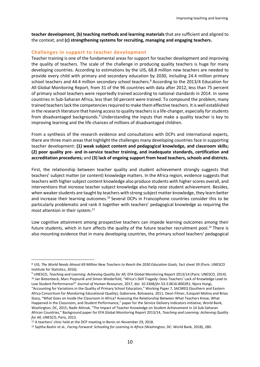**teacher development, (b) teaching methods and learning materials** that are sufficient and aligned to the context; and **(c) strengthening systems for recruiting, managing and engaging teachers.**

#### <span id="page-9-0"></span>**Challenges in support to teacher development**

Teacher training is one of the fundamental areas for support for teacher development and improving the quality of teachers. The scale of the challenge in producing quality teachers is huge for many developing countries. According to estimations by the UIS, 68.8 million new teachers are needed to provide every child with primary and secondary education by 2030, including 24.4 million primary school teachers and 44.4 million secondary school teachers. <sup>8</sup> According to the 2013/4 Education for All Global Monitoring Report, from 31 of the 96 countries with data after 2012, less than 75 percent of primary school teachers were reportedly trained according to national standards in 2014*.* In some countries in Sub-Saharan Africa, less than 50 percent were trained. To compound the problem, many trained teachers lack the competencies required to make them effective teachers. It is well established in the research literature that having access to quality teachers is a life-changer, especially for students from disadvantaged backgrounds.<sup>9</sup> Understanding the inputs that make a quality teacher is key to improving learning and the life chances of millions of disadvantaged children.

From a synthesis of the research evidence and consultations with DCPs and international experts, there are three main areas that highlight the challenges many developing countries face in supporting teacher development: **(1) weak subject content and pedagogical knowledge, and classroom skills; (2) poor quality pre- and in-service teacher training, and inadequate standards, certification and accreditation procedures;** and **(3) lack of ongoing support from head teachers, schools and districts.** 

First, the relationship between teacher quality and student achievement strongly suggests that teachers' subject matter (or content) knowledge matters. In the Africa region, evidence suggests that teachers with higher subject content knowledge also produce students with higher scores overall, and interventions that *increase* teacher subject knowledge also help *raise* student achievement. Besides, when weaker students are taught by teachers with strong subject matter knowledge, they learn better and increase their learning outcomes.<sup>10</sup> Several DCPs in Francophone countries consider this to be particularly problematic and rank it together with teachers' pedagogical knowledge as requiring the most attention in their system. 11

Low cognitive attainment among prospective teachers can impede learning outcomes among their future students, which in turn affects the quality of the future teacher recruitment pool.<sup>12</sup> There is also mounting evidence that in many developing countries, the primary school teachers' pedagogical

<sup>8</sup> UIS, *The World Needs Almost 69 Million New Teachers to Reach the 2030 Education Goals,* fact sheet 39 (Paris: UNESCO Institute for Statistics, 2016).

<sup>9</sup> UNESCO, *Teaching and Learning: Achieving Quality for All,* EFA Global Monitoring Report 2013/14 (Paris: UNESCO, 2014). <sup>10</sup> Jan Bietenbeck, Marc Piopiunik and Simon Wiederfold, "Africa's Skill Tragedy: Does Teachers' Lack of Knowledge Lead to Low Student Performance?" *Journal of Human Resources*, 2017, doi: 10.3368/jhr.53.3.0616-8002R1; Njora Hungi,

<sup>&</sup>quot;Accounting for Variations in the Quality of Primary School Education," Working Paper 7, SACMEQ (Southern and Eastern Africa Consortium for Monitoring Educational Quality), Gaborone, Botswana, 2011; Deon Filmer, Ezequiel Molina and Brian Stacy, "What Goes on Inside the Classroom in Africa? Assessing the Relationship Between What Teachers Know, What Happened in the Classroom, and Student Performance," paper for the Service Delivery Indicators initiative, World Bank, Washington, DC, 2015; Nadir Altinok, "The Impact of Teacher Knowledge on Student Achievement in 14 Sub-Saharan African Countries," Background paper for EFA Global Monitoring Report 2013/14, *Teaching and Learning: Achieving Quality for All,* UNESCO, Paris, 2013.

<sup>11</sup> A teachers' clinic held at the DCP meeting in Benin on November 29, 2018.

<sup>12</sup> Sajitha Bashir et al., *Facing Forward: Schooling for Learning in Africa* (Washington, DC: World Bank, 2018), 280.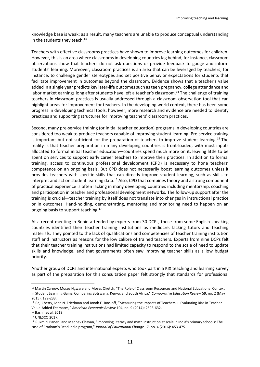knowledge base is weak; as a result, many teachers are unable to produce conceptual understanding in the students they teach. $^{13}$ 

Teachers with effective classrooms practices have shown to improve learning outcomes for children. However, this is an area where classrooms in developing countries lag behind; for instance, classroom observations show that teachers do not ask questions or provide feedback to gauge and inform students' learning. Moreover, classroom practices is an area that can be leveraged by teachers, for instance, to challenge gender stereotypes and set positive behavior expectations for students that facilitate improvement in outcomes beyond the classroom. Evidence shows that a teacher's value added in a single year predicts key later-life outcomes such as teen pregnancy, college attendance and labor market earnings long after students have left a teacher's classroom.<sup>14</sup> The challenge of training teachers in classroom practices is usually addressed through a classroom observation tool that can highlight areas for improvement for teachers. In the developing world context, there has been some progress in developing technical tools; however, more research and evidence are needed to identify practices and supporting structures for improving teachers' classroom practices.

Second, many pre-service training (or initial teacher education) programs in developing countries are considered too weak to produce teachers capable of improving student learning. Pre-service training is important but not sufficient for the preparation of teachers to improve student learning. <sup>15</sup> The reality is that teacher preparation in many developing countries is front-loaded, with most inputs allocated to formal initial teacher education—countries spend much more on it, leaving little to be spent on services to support early career teachers to improve their practices. In addition to formal training, access to continuous professional development (CPD) is necessary to hone teachers' competence on an ongoing basis. But CPD does not necessarily boost learning outcomes unless it provides teachers with specific skills that can directly improve student learning, such as skills to interpret and act on student learning data.<sup>16</sup> Also, CPD that combines theory and a strong component of practical experience is often lacking in many developing countries including mentorship, coaching and participation in teacher and professional development networks. The follow-up support after the training is crucial—teacher training by itself does not translate into changes in instructional practice or in outcomes. Hand-holding, demonstrating, mentoring and monitoring need to happen on an ongoing basis to support teaching.<sup>17</sup>

At a recent meeting in Benin attended by experts from 30 DCPs, those from some English-speaking countries identified their teacher training institutions as mediocre, lacking tutors and teaching materials. They pointed to the lack of qualifications and competencies of teacher training institution staff and instructors as reasons for the low calibre of trained teachers. Experts from nine DCPs felt that their teacher training institutions had limited capacity to respond to the scale of need to update skills and knowledge, and that governments often saw improving teacher skills as a low budget priority.

Another group of DCPs and international experts who took part in a KIX teaching and learning survey as part of the preparation for this consultation paper felt strongly that standards for professional

l

<sup>13</sup> Martin Carnoy, Moses Ngware and Moses Oketch, "The Role of Classroom Resources and National Educational Context in Student Learning Gains: Comparing Botswana, Kenya, and South Africa," *Comparative Education Review* 59, no. 2 (May 2015): 199-233.

<sup>&</sup>lt;sup>14</sup> Raj Chetty, John N. Friedman and Jonah E. Rockoff, "Measuring the Impacts of Teachers, I: Evaluating Bias in Teacher Value-Added Estimates," *American Economic Review* 104, no. 9 (2014): 2593-632.

<sup>15</sup> Bashir et al. 2018.

<sup>16</sup> UNESCO 2017.

<sup>17</sup> Rukmini Banerji and Madhav Chavan, "Improving literacy and math instruction at scale in India's primary schools: The case of Pratham's Read India program," *Journal of Educational Change* 17, no. 4 (2016): 453-475.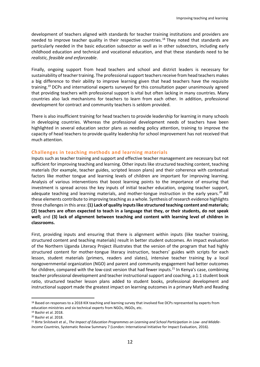development of teachers aligned with standards for teacher training institutions and providers are needed to improve teacher quality in their respective countries. <sup>18</sup> They noted that standards are particularly needed in the basic education subsector as well as in other subsectors, including early childhood education and technical and vocational education, and that these standards need to be *realistic, feasible and enforceable*.

Finally, ongoing support from head teachers and school and district leaders is necessary for sustainability of teacher training. The professional support teachers receive from head teachers makes a big difference to their ability to improve learning given that head teachers have the requisite training. <sup>19</sup> DCPs and international experts surveyed for this consultation paper unanimously agreed that providing teachers with professional support is vital but often lacking in many countries. Many countries also lack mechanisms for teachers to learn from each other. In addition, professional development for contract and community teachers is seldom provided.

There is also insufficient training for head teachers to provide leadership for learning in many schools in developing countries. Whereas the professional development needs of teachers have been highlighted in several education sector plans as needing policy attention, training to improve the capacity of head teachers to provide quality leadership for school improvement has not received that much attention.

#### <span id="page-11-0"></span>**Challenges in teaching methods and learning materials**

Inputs such as teacher training and support and effective teacher management are necessary but not sufficient for improving teaching and learning. Other inputs like structured teaching content, teaching materials (for example, teacher guides, scripted lesson plans) and their coherence with contextual factors like mother tongue and learning levels of children are important for improving learning. Analysis of various interventions that boost learning points to the importance of ensuring that investment is spread across the key inputs of initial teacher education, ongoing teacher support, adequate teaching and learning materials, and mother-tongue instruction in the early years.<sup>20</sup> All these elements contribute to improving teaching as a whole. Synthesis of research evidence highlights three challenges in this area: **(1) Lack of quality inputs like structured teaching content and materials; (2) teachers are often expected to teach in a language that they, or their students, do not speak well;** and **(3) lack of alignment between teaching and content with learning level of children in classrooms.**

First, providing inputs and ensuring that there is alignment within inputs (like teacher training, structured content and teaching materials) result in better student outcomes. An impact evaluation of the Northern Uganda Literacy Project illustrates that the version of the program that had highly structured content for mother-tongue literacy instruction, teachers' guides with scripts for each lesson, student materials (primers, readers and slates), intensive teacher training by a local nongovernmental organization (NGO) and parent and community engagement had better outcomes for children, compared with the low-cost version that had fewer inputs.<sup>21</sup> In Kenya's case, combining teacher professional development and teacher instructional support and coaching, a 1:1 student book ratio, structured teacher lesson plans added to student books, professional development and instructional support made the greatest impact on learning outcomes in a primary Math and Reading

l

<sup>18</sup> Based on responses to a 2018 KIX teaching and learning survey that involved five DCPs represented by experts from education ministries and six technical experts from NGOs, INGOs, etc.

<sup>19</sup> Bashir et al. 2018.

<sup>20</sup> Bashir et al. 2018.

<sup>21</sup> Birte Snilstveit et al., *The Impact of Education Programmes on Learning and School Participation in Low- and Middle-Income Countries*, Systematic Review Summary 7 (London: International Initiative for Impact Evaluation, 2016).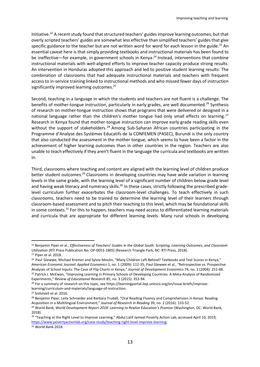Initiative. <sup>22</sup> A recent study found that structured teachers' guides improve learning outcomes, but that overly scripted teachers' guides are somewhat less effective than simplified teachers' guides that give specific guidance to the teacher but are not written word for word for each lesson in the guide.<sup>23</sup> An essential caveat here is that simply providing textbooks and instructional materials has been found to be ineffective—for example, in government schools in Kenya. <sup>24</sup> Instead, interventions that combine instructional materials with well-aligned efforts to improve teacher capacity produce strong results. An intervention in Honduras adopted this approach and led to positive student learning results: The combination of classrooms that had adequate instructional materials and teachers with frequent access to in-service training linked to instructional methods and who missed fewer days of instruction significantly improved learning outcomes.<sup>25</sup>

Second, teaching in a language in which the students and teachers are not fluent is a challenge. The benefits of mother-tongue instruction, particularly in early grades, are well documented.<sup>26</sup> Synthesis of research on mother-tongue instruction shows that programs that were delivered or designed in a national language rather than the children's mother tongue had only small effects on learning.<sup>27</sup> Research in Kenya found that mother-tongue instruction can improve early grade reading skills even without the support of stakeholders.<sup>28</sup> Among Sub-Saharan African countries participating in the Programme d'Analyse des Systèmes Educatifs de la CONFEMEN (PASEC), Burundi is the only country that also conducted the assessment in the mother tongue, which seems to have been a factor in the achievement of higher learning outcomes than in other countries in the region. Teachers are also unable to teach effectively if they aren't fluent in the language the curricula and textbooks are written in.

Third, classrooms where teaching and content are aligned with the learning level of children produce better student outcomes.<sup>29</sup> Classrooms in developing countries may have wide variation in learning levels in the same grade, with the learning level of a significant number of children below grade level and having weak literacy and numeracy skills.<sup>30</sup> In these cases, strictly following the prescribed gradelevel curriculum further exacerbates the classroom-level challenges. To teach effectively in such classrooms, teachers need to be trained to determine the learning level of their learners through classroom-based assessment and to pitch their teaching to this level, which may be foundational skills in some contexts.<sup>31</sup> For this to happen, teachers may need access to differentiated learning materials and curricula that are appropriate for different learning levels. Many rural schools in developing

<sup>22</sup> Benjamin Piper et al., *Effectiveness of Teachers' Guides in the Global South: Scripting, Learning Outcomes, and Classroom Utilization* (RTI Press Publication No. OP-0053-1805) (Research Triangle Park, NC: RTI Press, 2018).

<sup>23</sup> Piper et al. 2018.

<sup>&</sup>lt;sup>24</sup> Paul Glewwe, Michael Kremer and Sylvie Moulin, "Many Children Left Behind? Textbooks and Test Scores in Kenya," *American Economic Journal: Applied Economics* 1, no. 1 (2009): 112-35; Paul Glewwe et al., "Retrospective vs. Prospective Analyses of School Inputs: The Case of Flip Charts in Kenya," *Journal of Development Economics* 74, no. 1 (2004): 251-68. <sup>25</sup> Patrick J. McEwan, "Improving Learning in Primary Schools of Developing Countries: A Meta-Analysis of Randomized Experiments," *Review of Educational Research* 85, no. 3 (2015): 353-94.

<sup>&</sup>lt;sup>26</sup> For a summary of research on this topic, see https://learningportal.iiep.unesco.org/en/issue-briefs/improvelearning/curriculum-and-materials/language-of-instruction.

<sup>27</sup> Snilstveit et al. 2016.

<sup>&</sup>lt;sup>28</sup> Benjamin Piper, Leila Schroeder and Barbara Trudell, "Oral Reading Fluency and Comprehension in Kenya: Reading Acquisition in a Multilingual Environment," *Journal of Research in Reading* 39, no. 2 (2016): 133-52.

<sup>29</sup> World Bank, *World Development Report 2018: Learning to Realize Education's Promise* (Washington, DC: World Bank, 2018).

<sup>&</sup>lt;sup>30</sup> "Teaching at the Right Level to Improve Learning," Abdul Latif Jameel Poverty Action Lab, accessed April 10, 2019, [https://www.povertyactionlab.org/case-study/teaching-right-level-improve-learning.](https://www.povertyactionlab.org/case-study/teaching-right-level-improve-learning) <sup>31</sup> World Bank 2018.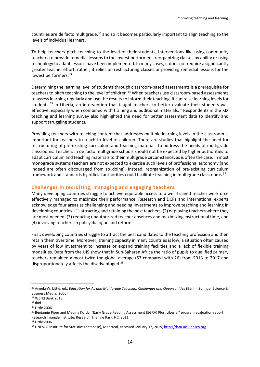countries are de facto multigrade, $32$  and so it becomes particularly important to align teaching to the levels of individual learners.

To help teachers pitch teaching to the level of their students, interventions like using community teachers to provide remedial lessons to the lowest performers, reorganizing classes by ability or using technology to adapt lessons have been implemented. In many cases, it does not require a significantly greater teacher effort; rather, it relies on restructuring classes or providing remedial lessons for the lowest performers.<sup>33</sup>

Determining the learning level of students through classroom-based assessments is a prerequisite for teachers to pitch teaching to the level of children.<sup>34</sup> When teachers use classroom-based assessments to assess learning regularly and use the results to inform their teaching, it can raise learning levels for students.<sup>35</sup> In Liberia, an intervention that taught teachers to better evaluate their students was effective, especially when combined with training and additional materials.<sup>36</sup> Respondents in the KIX teaching and learning survey also highlighted the need for better assessment data to identify and support struggling students.

Providing teachers with teaching content that addresses multiple learning levels in the classroom is important for teachers to teach to level of children. There are studies that highlight the need for restructuring of pre-existing curriculum and teaching materials to address the needs of multigrade classrooms. Teachers in de facto multigrade schools should not be expected by higher authorities to adapt curriculum and teaching materials to their multigrade circumstance, as is often the case. In most monograde systems teachers are not expected to exercise such levels of professional autonomy (and indeed are often discouraged from so doing). Instead, reorganization of pre-existing curriculum framework and standards by official authorities could facilitate teaching in multigrade classrooms.<sup>37</sup>

#### <span id="page-13-0"></span>**Challenges in recruiting, managing and engaging teachers**

Many developing countries struggle to achieve equitable access to a well-trained teacher workforce effectively managed to maximize their performance. Research and DCPs and international experts acknowledge four areas as challenging and needing investments to improve teaching and learning in developing countries: (1) attracting and retaining the best teachers, (2) deploying teachers where they are most needed, (3) reducing unauthorized teacher absences and maximizing instructional time, and (4) involving teachers in policy dialogue and reform.

First, developing countries struggle to attract the best candidates to the teaching profession and then retain them over time. Moreover, training capacity in many countries is low, a situation often caused by years of low investment to increase or expand training facilities and a lack of flexible training modalities. Data from the UIS show that in Sub-Saharan Africa the ratio of pupils to qualified primary teachers remained almost twice the global average (53 compared with 26) from 2013 to 2017 and disproportionately affects the disadvantaged.<sup>38</sup>

l

<sup>32</sup> Angela W. Little, ed., *Education for All and Multigrade Teaching: Challenges and Opportunities* (Berlin: Springer Science & Business Media, 2006).

<sup>33</sup> World Bank 2018.

<sup>34</sup> Ibid.

<sup>35</sup> Little 2006.

<sup>&</sup>lt;sup>36</sup> Benjamin Piper and Medina Korda, "Early Grade Reading Assessment (EGRA) Plus: Liberia," program evaluation report, Research Triangle Institute, Research Triangle Park, NC, 2011.

<sup>37</sup> Little 2006.

<sup>38</sup> UNESCO Institute for Statistics (database), Montreal, accessed January 17, 2019[, http://data.uis.unesco.org.](http://data.uis.unesco.org/)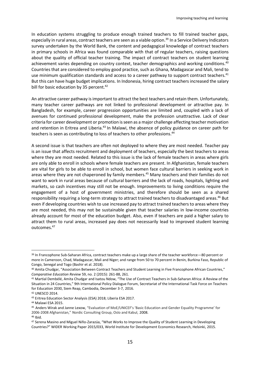In education systems struggling to produce enough trained teachers to fill trained teacher gaps, especially in rural areas, contract teachers are seen as a viable option.<sup>39</sup> In a Service Delivery Indicators survey undertaken by the World Bank, the content and pedagogical knowledge of contract teachers in primary schools in Africa was found comparable with that of regular teachers, raising questions about the quality of official teacher training. The impact of contract teachers on student learning achievement varies depending on country context, teacher demographics and working conditions.<sup>40</sup> Countries that are considered to employ good practice, such as Ghana, Madagascar and Mali, tend to use minimum qualification standards and access to a career pathway to support contract teachers.<sup>41</sup> But this can have huge budget implications. In Indonesia, hiring contract teachers increased the salary bill for basic education by 35 percent.<sup>42</sup>

An attractive career pathway is important to attract the best teachers and retain them. Unfortunately, many teacher career pathways are not linked to professional development or attractive pay. In Bangladesh, for example, career progression opportunities are limited and, coupled with a lack of avenues for continued professional development, make the profession unattractive. Lack of clear criteria for career development or promotion is seen as a major challenge affecting teacher motivation and retention in Eritrea and Liberia.<sup>43</sup> In Malawi, the absence of policy guidance on career path for teachers is seen as contributing to loss of teachers to other professions. 44

A second issue is that teachers are often not deployed to where they are most needed. Teacher pay is an issue that affects recruitment and deployment of teachers, especially the best teachers to areas where they are most needed. Related to this issue is the lack of female teachers in areas where girls are only able to enroll in schools where female teachers are present. In Afghanistan, female teachers are vital for girls to be able to enroll in school, but women face cultural barriers in seeking work in areas where they are not chaperoned by family members.<sup>45</sup> Many teachers and their families do not want to work in rural areas because of cultural barriers and the lack of roads, hospitals, lighting and markets, so cash incentives may still not be enough. Improvements to living conditions require the engagement of a host of government ministries, and therefore should be seen as a shared responsibility requiring a long-term strategy to attract trained teachers to disadvantaged areas. <sup>46</sup> But even if developing countries wish to use increased pay to attract trained teachers to areas where they are most needed, this may not be sustainable given that teacher salaries in low-income countries already account for most of the education budget. Also, even if teachers are paid a higher salary to attract them to rural areas, increased pay does not necessarily lead to improved student learning outcomes.<sup>47</sup>

l 39 In Francophone Sub-Saharan Africa, contract teachers make up a large share of the teacher workforce—80 percent or more in Cameroon, Chad, Madagascar, Mali and Niger; and range from 50 to 70 percent in Benin, Burkina Faso, Republic of Congo, Senegal and Togo (Bashir et al. 2018).

<sup>40</sup> Amita Chudgar, "Association Between Contract Teachers and Student Learning in Five Francophone African Countries," *Comparative Education Review* 59, no. 2 (2015): 261-88, 261.

<sup>41</sup> Martial Dembélé, Amita Chudgar and Isatou Ndow, "The Use of Contract Teachers in Sub-Saharan Africa: A Review of the Situation in 24 Countries," 9th International Policy Dialogue Forum, Secretariat of the International Task Force on Teachers for Education 2030, Siem Reap, Cambodia, December 3-7, 2016.

<sup>42</sup> UNESCO 2014.

<sup>43</sup> Eritrea Education Sector Analysis (ESA) 2018; Liberia ESA 2017.

<sup>44</sup> Malawi ESA 2015.

<sup>45</sup> Anders Wirak and Janne Lexow, "Evaluation of MoE/UNICEF's 'Basic Education and Gender Equality Programme' for 2006-2008 Afghanistan," Nordic Consulting Group, Oslo and Kabul, 2008.

<sup>46</sup> Ibid.

<sup>47</sup> Serena Masino and Miguel Niño-Zarazúa, "What Works to Improve the Quality of Student Learning in Developing Countries?" WIDER Working Paper 2015/033, World Institute for Development Economics Research, Helsinki, 2015.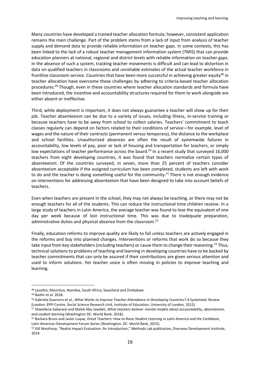Many countries have developed a trained teacher allocation formula; however, consistent application remains the main challenge. Part of the problem stems from a lack of input from analysis of teacher supply and demand data to provide reliable information on teacher gaps. In some contexts, this has been linked to the lack of a robust teacher management information system (TMIS) that can provide education planners at national, regional and district levels with reliable information on teacher gaps. In the absence of such a system, tracking teacher movements is difficult and can lead to distortion in data on qualified teachers in classrooms and unreliable estimates of the actual teacher workforce in frontline classroom service. Countries that have been more successful in achieving greater equity<sup>48</sup> in teacher allocation have overcome these challenges by adhering to criteria-based teacher allocation procedures.<sup>49</sup> Though, even in these countries where teacher allocation standards and formula have been introduced, the incentive and accountability structures required for them to work alongside are either absent or ineffective.

Third, while deployment is important, it does not always guarantee a teacher will show up for their job. Teacher absenteeism can be due to a variety of issues, including illness, in-service training or because teachers have to be away from school to collect salaries. Teachers' commitment to teach classes regularly can depend on factors related to their conditions of service—for example, level of wages and the nature of their contracts (permanent versus temporary), the distance to the workplace and school facilities. Unauthorized absences are often the result of systemwide failures in accountability, low levels of pay, poor or lack of housing and transportation for teachers, or simply low expectations of teacher performance across the board.<sup>50</sup> In a recent study that surveyed 16,000 teachers from eight developing countries, it was found that teachers normalize certain types of absenteeism: Of the countries surveyed, in seven, more than 25 percent of teachers consider absenteeism acceptable if the assigned curriculum has been completed, students are left with work to do and the teacher is doing something useful for the community.<sup>51</sup> There is not enough evidence on interventions for addressing absenteeism that have been designed to take into account beliefs of teachers.

Even when teachers are present in the school, they may not always be teaching, or there may not be enough teachers for all of the students. This can reduce the instructional time children receive. In a large study of teachers in Latin America, the average teacher was found to lose the equivalent of one day per week because of lost instructional time. This was due to inadequate preparation, administrative duties and physical absence from the classroom. 52

Finally, education reforms to improve quality are likely to fail unless teachers are actively engaged in the reforms and buy into planned changes. Interventions or reforms that work do so because they take input from key stakeholders (including teachers) or cause them to change their reasoning.<sup>53</sup> Thus, technical solutions to problems of teaching and learning in developing countries have to be backed by teacher commitments that can only be assured if their contributions are given serious attention and used to inform solutions. Yet teacher voice is often missing in policies to improve teaching and learning.

<sup>48</sup> Lesotho, Mauritius, Namibia, South Africa, Swaziland and Zimbabwe.

<sup>49</sup> Bashir et al. 2018.

<sup>50</sup> Gabriela Guerrero et al., *What Works to Improve Teacher Attendance in Developing Countries? A Systematic Review* (London: EPPI Centre, Social Science Research Unit, Institute of Education, University of London, 2012).

<sup>51</sup> Shwetlena Sabarwal and Malek Abu-Jawdeh, *What teachers believe: mental models about accountability, absenteeism, and student learning* (Washington DC: World Bank, 2018).

<sup>52</sup> Barbara Bruns and Javier Luque, *Great Teachers: How to Raise Student Learning in Latin America and the Caribbean,* Latin American Development Forum Series (Washington, DC: World Bank, 2015).

<sup>53</sup> Gill Westhorp, "Realist Impact Evaluation: An Introduction," Methods Lab publication, Overseas Development Institute, 2014.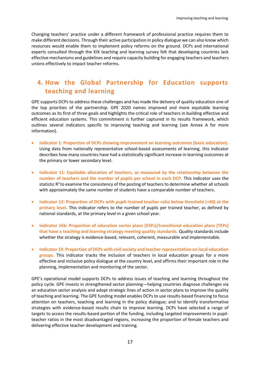Changing teachers' practice under a different framework of professional practice requires them to make different decisions. Through their active participation in policy dialogue we can also know which resources would enable them to implement policy reforms on the ground. DCPs and international experts consulted through the KIX teaching and learning survey felt that developing countries lack effective mechanisms and guidelines and require capacity building for engaging teachers and teachers unions effectively to impact teacher reforms.

## <span id="page-16-0"></span>**4. How the Global Partnership for Education supports teaching and learning**

GPE supports DCPs to address these challenges and has made the delivery of quality education one of the top priorities of the partnership. GPE 2020 names improved and more equitable learning outcomes as its first of three goals and highlights the critical role of teachers in building effective and efficient education systems. This commitment is further captured in its results framework, which outlines several indicators specific to improving teaching and learning (see Annex A for more information).

- **Indicator 1: Proportion of DCPs showing improvement on learning outcomes (basic education).** Using data from nationally representative school-based assessments of learning, this indicator describes how many countries have had a statistically significant increase in learning outcomes at the primary or lower secondary level.
- **Indicator 11: Equitable allocation of teachers, as measured by the relationship between the number of teachers and the number of pupils per school in each DCP.** This indicator uses the statistic R $^2$ to examine the consistency of the posting of teachers to determine whether all schools with approximately the same number of students have a comparable number of teachers.
- **Indicator 12: Proportion of DCPs with pupil–trained teacher ratio below threshold (<40) at the primary level.** This indicator refers to the number of pupils per trained teacher, as defined by national standards, at the primary level in a given school year.
- **Indicator 16b: Proportion of education sector plans (ESPs)/transitional education plans (TEPs) that have a teaching and learning strategy meeting quality standards.** Quality standards include whether the strategy is evidence-based, relevant, coherent, measurable and implementable.
- **Indicator 19: Proportion of DCPs with civil society and teacher representation on local education groups.** This indicator tracks the inclusion of teachers in local education groups for a more effective and inclusive policy dialogue at the country level, and affirms their important role in the planning, implementation and monitoring of the sector.

GPE's operational model supports DCPs to address issues of teaching and learning throughout the policy cycle. GPE invests in strengthened sector planning—helping countries diagnose challenges via an education sector analysis and adopt strategic lines of action in sector plans to improve the quality of teaching and learning. The GPE funding model enables DCPs to use results-based financing to focus attention on teachers, teaching and learning in the policy dialogue; and to identify transformative strategies with evidence-based results chain to improve learning. DCPs have selected a range of targets to access the results-based portion of the funding, including targeted improvements in pupilteacher ratios in the most disadvantaged regions, increasing the proportion of female teachers and delivering effective teacher development and training.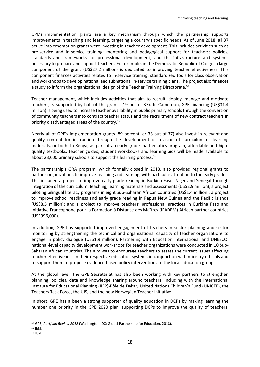GPE's implementation grants are a key mechanism through which the partnership supports improvements in teaching and learning, targeting a country's specific needs. As of June 2018, all 37 active implementation grants were investing in teacher development. This includes activities such as pre-service and in-service training; mentoring and pedagogical support for teachers; policies, standards and frameworks for professional development; and the infrastructure and systems necessary to prepare and support teachers. For example, in the Democratic Republic of Congo, a large component of the grant (US\$27.2 million) is dedicated to improving teacher effectiveness. This component finances activities related to in-service training, standardized tools for class observation and workshops to develop national and subnational in-service training plans. The project also finances a study to inform the organizational design of the Teacher Training Directorate.<sup>54</sup>

Teacher management, which includes activities that aim to recruit, deploy, manage and motivate teachers, is supported by half of the grants (19 out of 37). In Cameroon, GPE financing (US\$31.4 million) is being used to increase teacher availability in public primary schools through the conversion of community teachers into contract teacher status and the recruitment of new contract teachers in priority disadvantaged areas of the country.<sup>55</sup>

Nearly all of GPE's implementation grants (89 percent, or 33 out of 37) also invest in relevant and quality content for instruction through the development or revision of curriculum or learning materials, or both. In Kenya, as part of an early grade mathematics program, affordable and highquality textbooks, teacher guides, student workbooks and learning aids will be made available to about 23,000 primary schools to support the learning process.<sup>56</sup>

The partnership's GRA program, which formally closed in 2018, also provided regional grants to partner organizations to improve teaching and learning, with particular attention to the early grades. This included a project to improve early grade reading in Burkina Faso, Niger and Senegal through integration of the curriculum, teaching, learning materials and assessments (US\$2.9 million); a project piloting bilingual literacy programs in eight Sub-Saharan African countries (US\$1.4 million); a project to improve school readiness and early grade reading in Papua New Guinea and the Pacific islands (US\$8.5 million); and a project to improve teachers' professional practices in Burkina Faso and Initiative Francophone pour la Formation à Distance des Maîtres (IFADEM) African partner countries (US\$996,000).

In addition, GPE has supported improved engagement of teachers in sector planning and sector monitoring by strengthening the technical and organizational capacity of teacher organizations to engage in policy dialogue (US\$1.9 million). Partnering with Education International and UNESCO, national-level capacity development workshops for teacher organizations were conducted in 10 Sub-Saharan African countries. The aim was to encourage teachers to assess the current issues affecting teacher effectiveness in their respective education systems in conjunction with ministry officials and to support them to propose evidence-based policy interventions to the local education groups.

At the global level, the GPE Secretariat has also been working with key partners to strengthen planning, policies, data and knowledge sharing around teachers, including with the International Institute for Educational Planning (IIEP)-Pôle de Dakar, United Nations Children's Fund (UNICEF), the Teachers Task Force, the UIS, and the new Norwegian Teacher Initiative.

In short, GPE has a been a strong supporter of quality education in DCPs by making learning the number one priority in the GPE 2020 plan; supporting DCPs to improve the quality of teachers,

<sup>54</sup> GPE, *Portfolio Review 2018* (Washington, DC: Global Partnership for Education, 2018).

<sup>55</sup> Ibid.

<sup>56</sup> Ibid.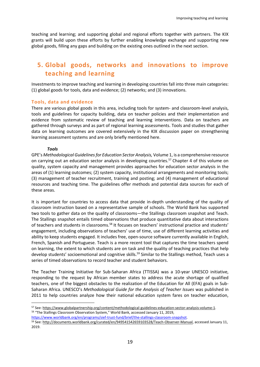teaching and learning; and supporting global and regional efforts together with partners. The KIX grants will build upon these efforts by further enabling knowledge exchange and supporting new global goods, filling any gaps and building on the existing ones outlined in the next section.

## <span id="page-18-0"></span>**5. Global goods, networks and innovations to improve teaching and learning**

Investments to improve teaching and learning in developing countries fall into three main categories: (1) global goods for tools, data and evidence; (2) networks; and (3) innovations.

#### <span id="page-18-1"></span>**Tools, data and evidence**

There are various global goods in this area, including tools for system- and classroom-level analysis, tools and guidelines for capacity building, data on teacher policies and their implementation and evidence from systematic review of teaching and learning interventions. Data on teachers are gathered through surveys and as part of regional learning assessments. Tools and studies that gather data on learning outcomes are covered extensively in the KIX discussion paper on strengthening learning assessment systems and are only briefly mentioned here.

#### *Tools*

 $\overline{a}$ 

GPE's *Methodological Guidelines for Education Sector Analysis,* Volume 1, is a comprehensive resource on carrying out an education sector analysis in developing countries.<sup>57</sup> Chapter 4 of this volume on quality, system capacity and management provides approaches for education sector analysis in the areas of (1) learning outcomes; (2) system capacity, institutional arrangements and monitoring tools; (3) management of teacher recruitment, training and posting; and (4) management of educational resources and teaching time. The guidelines offer methods and potential data sources for each of these areas.

It is important for countries to access data that provide in-depth understanding of the quality of classroom instruction based on a representative sample of schools. The World Bank has supported two tools to gather data on the quality of classrooms—the Stallings classroom snapshot and Teach. The Stallings snapshot entails timed observations that produce quantitative data about interactions of teachers and students in classrooms.<sup>58</sup> It focuses on teachers' instructional practice and students' engagement, including observations of teachers' use of time, use of different learning activities and ability to keep students engaged. It includes free, open-source software currently available in English, French, Spanish and Portuguese. Teach is a more recent tool that captures the time teachers spend on learning, the extent to which students are on task and the quality of teaching practices that help develop students' socioemotional and cognitive skills.<sup>59</sup> Similar to the Stallings method, Teach uses a series of timed observations to record teacher and student behaviors.

The Teacher Training Initiative for Sub-Saharan Africa (TTISSA) was a 10-year UNESCO initiative, responding to the request by African member states to address the acute shortage of qualified teachers, one of the biggest obstacles to the realization of the Education for All (EFA) goals in Sub-Saharan Africa. UNESCO's *Methodological Guide for the Analysis of Teacher Issues* was published in 2011 to help countries analyze how their national education system fares on teacher education,

[https://www.worldbank.org/en/programs/sief-trust-fund/brief/the-stallings-classroom-snapshot.](https://www.worldbank.org/en/programs/sief-trust-fund/brief/the-stallings-classroom-snapshot)

<sup>57</sup> See[: https://www.globalpartnership.org/content/methodological-guidelines-education-sector-analysis-volume-1.](https://www.globalpartnership.org/content/methodological-guidelines-education-sector-analysis-volume-1) <sup>58</sup> "The Stallings Classroom Observation System," World Bank, accessed January 11, 2019,

<sup>59</sup> See[: http://documents.worldbank.org/curated/en/949541542659103528/Teach-Observer-Manual,](http://documents.worldbank.org/curated/en/949541542659103528/Teach-Observer-Manual) accessed January 11, 2019.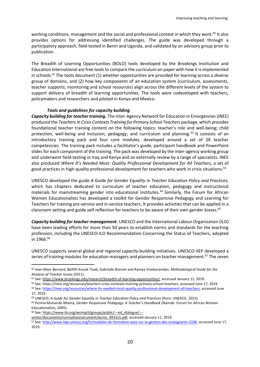working conditions, management and the social and professional context in which they work.<sup>60</sup> It also provides options for addressing identified challenges. The guide was developed through a participatory approach, field-tested in Benin and Uganda, and validated by an advisory group prior to publication.

The Breadth of Learning Opportunities (BOLO) tools developed by the Brookings Institution and Education International are free tools to compare the curriculum on paper with how it is implemented in schools.<sup>61</sup> The tools document  $(1)$  whether opportunities are provided for learning across a diverse group of domains, and (2) how key components of an education system (curriculum, assessments, teacher supports, monitoring and school resources) align across the different levels of the system to support delivery of breadth of learning opportunities. The tools were codeveloped with teachers, policymakers and researchers and piloted in Kenya and Mexico.

#### *Tools and guidelines for capacity building*

*Capacity building for teacher training.* The Inter-Agency Network for Education in Emergencies (INEE) produced the *Teachers in Crisis Contexts Training for Primary School Teachers* package*,* which provides foundational teacher training content on the following topics: teacher's role and well-being; child protection, well-being and inclusion; pedagogy; and curriculum and planning.  $62$  It consists of an introductory training pack and four core modules, developed around a set of 28 teacher competencies. The training pack includes a facilitator's guide, participant handbook and PowerPoint slides for each component of the training. The pack was developed by the inter-agency working group and underwent field-testing in Iraq and Kenya and an externally review by a range of specialists. INEE also produced *Where It's Needed Most: Quality Professional Development for All Teachers,* a set of good practices in high-quality professional development for teachers who work in crisis situations. 63

UNESCO developed the guide *A Guide for Gender Equality in Teacher Education Policy and Practices,* which has chapters dedicated to curriculum of teacher education, pedagogy and instructional materials for mainstreaming gender into educational institutes.<sup>64</sup> Similarly, the Forum for African Women Educationalists has developed a toolkit for Gender Responsive Pedagogy and Learning for Teachers for training pre-service and in-service teachers. It provides activities that can be applied in a classroom setting and guide self-reflection for teachers to be aware of their own gender biases.<sup>65</sup>

*Capacity building for teacher management.* UNESCO and the International Labour Organization (ILO) have been leading efforts for more than 50 years to establish norms and standards for the teaching profession, including the UNESCO-ILO Recommendation Concerning the Status of Teachers, adopted in 1966. 66

UNESCO supports several global and regional capacity-building initiatives. UNESCO-IIEP developed a series of training modules for education managers and planners on teacher management.<sup>67</sup> The seven

l

<sup>60</sup> Jean-Marc Bernard, Beïfith Kouak Tiyab, Gabrielle Bonnet and Ramya Vivekanandan, *Methodological Guide for the Analysis of Teacher Issues* (2011).

<sup>&</sup>lt;sup>61</sup> See[: https://www.brookings.edu/research/breadth-of-learning-opportunities/,](https://www.brookings.edu/research/breadth-of-learning-opportunities/) accessed January 11, 2019.

<sup>62</sup> See: https://inee.org/resources/teachers-crisis-contexts-training-primary-school-teachers, accessed June 17, 2019.

<sup>63</sup> See[: https://inee.org/resources/where-its-needed-most-quality-professional-development-all-teachers,](https://inee.org/resources/where-its-needed-most-quality-professional-development-all-teachers) accessed June 17, 2019.

<sup>64</sup> UNESCO, *A Guide for Gender Equality in Teacher Education Policy and Practices* (Paris: UNESCO, 2015).

<sup>65</sup> Penina Muhando Mlama, *Gender Responsive Pedagogy: A Teacher's Handbook* (Nairobi: Forum for African Women Educationalists, 2005).

<sup>66</sup> See: [https://www.ilo.org/wcmsp5/groups/public/---ed\\_dialogue/---](https://www.ilo.org/wcmsp5/groups/public/---ed_dialogue/---sector/documents/normativeinstrument/wcms_493315.pdf)

[sector/documents/normativeinstrument/wcms\\_493315.pdf,](https://www.ilo.org/wcmsp5/groups/public/---ed_dialogue/---sector/documents/normativeinstrument/wcms_493315.pdf) accessed January 11, 2019.

<sup>67</sup> See: [http://www.iiep.unesco.org/fr/modules-de-formation-axes-sur-la-gestion-des-enseignants-3336,](http://www.iiep.unesco.org/fr/modules-de-formation-axes-sur-la-gestion-des-enseignants-3336) accessed June 17, 2019.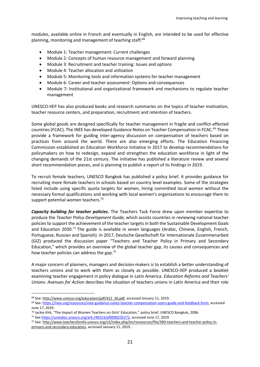modules, available online in French and eventually in English, are intended to be used for effective planning, monitoring and management of teaching staff:<sup>68</sup>

- Module 1: Teacher management: Current challenges
- Module 2: Concepts of human resource management and forward planning
- Module 3: Recruitment and teacher training: Issues and options
- Module 4: Teacher allocation and utilization
- Module 5: Monitoring tools and information systems for teacher management
- Module 6: Career and teacher assessment: Options and consequences
- Module 7: Institutional and organizational framework and mechanisms to regulate teacher management

UNESCO-IIEP has also produced books and research summaries on the topics of teacher motivation, teacher resource centers, and preparation, recruitment and retention of teachers.

Some global goods are designed specifically for teacher management in fragile and conflict-affected countries (FCAC). The INEE has developed Guidance Notes on Teacher Compensation in FCAC.<sup>69</sup> These provide a framework for guiding inter-agency discussion on compensation of teachers based on practices from around the world. There are also emerging efforts. The Education Financing Commission established an Education Workforce Initiative in 2017 to develop recommendations for policymakers on how to redesign, expand and strengthen the education workforce in light of the changing demands of the 21st century. The initiative has published a literature review and several short recommendation pieces, and is planning to publish a report of its findings in 2019.

To recruit female teachers, UNESCO Bangkok has published a policy brief. It provides guidance for recruiting more female teachers in schools based on country level examples. Some of the strategies listed include using specific quota targets for women, hiring committed local women without the necessary formal qualifications and working with local women's organizations to encourage them to support potential women teachers.<sup>70</sup>

*Capacity building for teacher policies***.** The Teachers Task Force drew upon member expertise to produce the *Teacher Policy Development Guide,* which assists countries in reviewing national teacher policies to support the achievement of the teacher targets in both the Sustainable Development Goals and Education 2030.<sup>71</sup> The guide is available in seven languages (Arabic, Chinese, English, French, Portuguese, Russian and Spanish). In 2017, Deutsche Gesellschaft für Internationale Zusammenarbeit (GIZ) produced the discussion paper "Teachers and Teacher Policy in Primary and Secondary Education," which provides an overview of the global teacher gap, its causes and consequences and how teacher policies can address the gap.<sup>72</sup>

A major concern of planners, managers and decision-makers is to establish a better understanding of teachers unions and to work with them as closely as possible. UNESCO-IIEP produced a booklet examining teacher engagement in policy dialogue in Latin America. *Education Reforms and Teachers' Unions: Avenues for Action* describes the situation of teachers unions in Latin America and their role

[primary-and-secondary-education,](http://www.teachersforefa.unesco.org/v2/index.php/en/ressources/file/390-teachers-and-teacher-policy-in-primary-and-secondary-education) accessed January 11, 2019.

<sup>68</sup> See: [http://www.unesco.org/education/pdf/412\\_36.pdf,](http://www.unesco.org/education/pdf/412_36.pdf) accessed January 11, 2019.

<sup>69</sup> See: [https://inee.org/resources/inee-guidance-notes-teacher-compensation-users-guide-and-feedback-form,](https://inee.org/resources/inee-guidance-notes-teacher-compensation-users-guide-and-feedback-form) accessed June 17, 2019.

<sup>70</sup> Jackie Kirk, "The Impact of Women Teachers on Girls' Education," policy brief, UNESCO Bangkok, 2006.

<sup>71</sup> Se[e https://unesdoc.unesco.org/ark:/48223/pf0000235272,](https://unesdoc.unesco.org/ark:/48223/pf0000235272) accessed June 17, 2019.

<sup>72</sup> See[: http://www.teachersforefa.unesco.org/v2/index.php/en/ressources/file/390-teachers-and-teacher-policy-in-](http://www.teachersforefa.unesco.org/v2/index.php/en/ressources/file/390-teachers-and-teacher-policy-in-primary-and-secondary-education)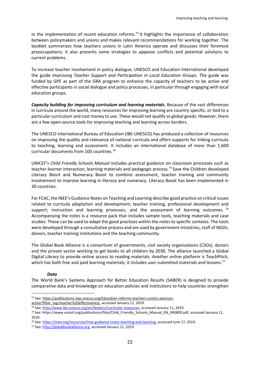in the implementation of recent education reforms.<sup>73</sup> It highlights the importance of collaboration between policymakers and unions and makes relevant recommendations for working together. The booklet summarizes how teachers unions in Latin America operate and discusses their foremost preoccupations; it also presents some strategies to appease conflicts and potential solutions to current problems.

To increase teacher involvement in policy dialogue, UNESCO and Education International developed the guide *Improving Teacher Support and Participation in Local Education Groups*. The guide was funded by GPE as part of the GRA program to enhance the capacity of teachers to be active and effective participants in social dialogue and policy processes, in particular through engaging with local education groups.

*Capacity building for improving curriculum and learning materials***.** Because of the vast differences in curricula around the world, many resources for improving learning are country-specific, or tied to a particular curriculum and cost money to use. These would not qualify as global goods. However, there are a few open-source tools for improving teaching and learning across borders.

The UNESCO International Bureau of Education (IBE-UNESCO) has produced a collection of resources on improving the quality and relevance of national curricula and offers supports for linking curricula to teaching, learning and assessment. It includes an international database of more than 1,600 curricular documents from 100 countries.<sup>74</sup>

UNICEF's *Child Friendly Schools Manual* includes practical guidance on classroom processes such as teacher-learner interaction, learning materials and pedagogic process.<sup>75</sup> Save the Children developed Literacy Boost and Numeracy Boost to combine assessment, teacher training and community involvement to improve learning in literacy and numeracy. Literacy Boost has been implemented in 30 countries.

For FCAC, the INEE's Guidance Notes on Teaching and Learning describe good practice on critical issues related to curricula adaptation and development; teacher training, professional development and support; instruction and learning processes; and the assessment of learning outcomes.  $76$ Accompanying the notes is a resource pack that includes sample tools, teaching materials and case studies. These can be used to adapt the good practices within the notes to specific contexts. The tools were developed through a consultative process and are used by government ministries, staff of NGOs, donors, teacher training institutions and the teaching community.

The Global Book Alliance is a consortium of governments, civil society organizations (CSOs), donors and the private sector working to get books to all children by 2030. The alliance launched a [Global](https://digitallibrary.io/)  [Digital Library](https://digitallibrary.io/) to provide online access to reading materials. Another online platform is [TeachPitch,](https://teachpitch.com/) which has both free and paid learning materials; it includes user-submitted materials and lessons.<sup>77</sup>

#### *Data*

 $\overline{a}$ 

The World Bank's Systems Approach for Better Education Results (SABER) is designed to provide comparative data and knowledge on education policies and institutions to help countries strengthen

<sup>73</sup> See[: https://publications.iiep.unesco.org/Education-reforms-teachers-unions-avenues-](https://publications.iiep.unesco.org/Education-reforms-teachers-unions-avenues-action?filter_tag=teacher%20effectiveness)

[action?filter\\_tag=teacher%20effectiveness,](https://publications.iiep.unesco.org/Education-reforms-teachers-unions-avenues-action?filter_tag=teacher%20effectiveness) accessed January 11, 2019.

<sup>74</sup> See[: http://www.ibe.unesco.org/en/ibedocs/curricular-resources,](http://www.ibe.unesco.org/en/ibedocs/curricular-resources) accessed January 11, 2019.

<sup>&</sup>lt;sup>75</sup> See: https://www.unicef.org/publications/files/Child Friendly Schools Manual EN 040809.pdf, accessed January 11, 2019.

<sup>76</sup> See[: https://inee.org/resources/inee-guidance-notes-teaching-and-learning,](https://inee.org/resources/inee-guidance-notes-teaching-and-learning) accessed June 17, 2019.

<sup>77</sup> See: [http://globalbookalliance.org,](http://globalbookalliance.org/) accessed January 11, 2019.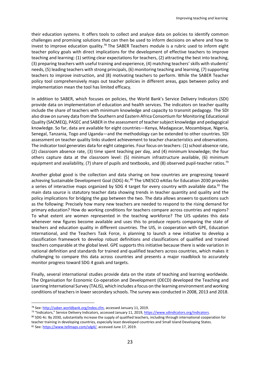their education systems. It offers tools to collect and analyze data on policies to identify common challenges and promising solutions that can then be used to inform decisions on where and how to invest to improve education quality.<sup>78</sup> The SABER Teachers module is a rubric used to inform eight teacher policy goals with direct implications for the development of effective teachers to improve teaching and learning: (1) setting clear expectations for teachers, (2) attracting the best into teaching, (3) preparing teachers with useful training and experience, (4) matching teachers' skills with students' needs, (5) leading teachers with strong principals, (6) monitoring teaching and learning, (7) supporting teachers to improve instruction, and (8) motivating teachers to perform. While the SABER Teacher policy tool comprehensively maps out teacher policies in different areas, gaps between policy and implementation mean the tool has limited efficacy.

In addition to SABER, which focuses on policies, the World Bank's Service Delivery Indicators (SDI) provide data on implementation of education and health services. The indicators on teacher quality include the share of teachers with minimum knowledge and capacity to transmit pedagogy. The SDI also draw on survey data from the Southern and Eastern Africa Consortium for Monitoring Educational Quality (SACMEQ), PASEC and SABER in the assessment of teacher subject knowledge and pedagogical knowledge. So far, data are available for eight countries—Kenya, Madagascar, Mozambique, Nigeria, Senegal, Tanzania, Togo and Uganda—and the methodology can be extended to other countries. SDI assessment on teacher quality links student achievement to teacher characteristics and observations. The indicator tool generates data for eight categories. Four focus on teachers: (1) school absence rate, (2) classroom absence rate, (3) time spent teaching per day, and (4) minimum knowledge; the four others capture data at the classroom level: (5) minimum infrastructure available, (6) minimum equipment and availability,  $(7)$  share of pupils and textbooks, and  $(8)$  observed pupil-teacher ratios.<sup>79</sup>

Another global good is the collection and data sharing on how countries are progressing toward achieving Sustainable Development Goal (SDG) 4c.<sup>80</sup> The UNESCO eAtlas for Education 2030 provides a series of interactive maps organized by SDG 4 target for every country with available data.<sup>81</sup> The main data source is statutory teacher data showing trends in teacher quantity and quality and the policy implications for bridging the gap between the two. The data allows answers to questions such as the following: Precisely how many new teachers are needed to respond to the rising demand for primary education? How do working conditions for teachers compare across countries and regions? To what extent are women represented in the teaching workforce? The UIS updates this data whenever new figures become available and uses this to produce reports comparing the state of teachers and education quality in different countries. The UIS, in cooperation with GPE, Education International, and the Teachers Task Force, is planning to launch a new initiative to develop a classification framework to develop robust definitions and classifications of qualified and trained teachers comparable at the global level. GPE supports this initiative because there is wide variation in national definition and standards for trained and qualified teachers across countries, which makes it challenging to compare this data across countries and presents a major roadblock to accurately monitor progress toward SDG 4 goals and targets.

Finally, several international studies provide data on the state of teaching and learning worldwide. The Organisation for Economic Co-operation and Development (OECD) developed the Teaching and Learning International Survey (TALIS), which includes a focus on the learning environment and working conditions of teachers in lower secondary schools. The survey was conducted in 2008, 2013 and 2018.

<sup>78</sup> See[: http://saber.worldbank.org/index.cfm,](http://saber.worldbank.org/index.cfm) accessed January 11, 2019.

<sup>&</sup>lt;sup>79</sup> "Indicators," Service Delivery Indicators, accessed January 11, 2019[, https://www.sdindicators.org/indicators.](https://www.sdindicators.org/indicators)

<sup>80</sup> SDG 4c: By 2030, substantially increase the supply of qualified teachers, including through international cooperation for teacher training in developing countries, especially least developed countries and Small Island Developing States. 81 See[: https://www.tellmaps.com/sdg4/,](https://www.tellmaps.com/sdg4/) accessed June 17, 2019.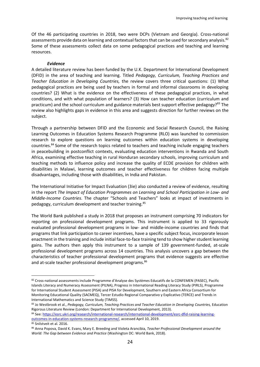Of the 46 participating countries in 2018, two were DCPs (Vietnam and Georgia). Cross-national assessments provide data on learning and contextual factors that can be used for secondary analysis.<sup>82</sup> Some of these assessments collect data on some pedagogical practices and teaching and learning resources.

#### *Evidence*

A detailed literature review has been funded by the U.K. Department for International Development (DFID) in the area of teaching and learning. Titled *Pedagogy, Curriculum, Teaching Practices and Teacher Education in Developing Countries,* the review covers three critical questions: (1) What pedagogical practices are being used by teachers in formal and informal classrooms in developing countries? (2) What is the evidence on the effectiveness of these pedagogical practices, in what conditions, and with what population of learners? (3) How can teacher education (curriculum and practicum) and the school curriculum and guidance materials best support effective pedagogy?<sup>83</sup> The review also highlights gaps in evidence in this area and suggests direction for further reviews on the subject.

Through a partnership between DFID and the Economic and Social Research Council, the Raising Learning Outcomes in Education Systems Research Programme (RLO) was launched to commission research to explore questions on learning outcomes within education systems in developing countries.<sup>84</sup> Some of the research topics related to teachers and teaching include engaging teachers in peacebuilding in postconflict contexts, [evaluating education interventions in Rwanda and South](https://esrc.ukri.org/research/international-research/international-development/international-development-research-projects/engaging-teachers-in-peacebuilding-in-postconflict-contexts-evaluating-education-interventions-in-rwanda-and-south-africa/)  [Africa,](https://esrc.ukri.org/research/international-research/international-development/international-development-research-projects/engaging-teachers-in-peacebuilding-in-postconflict-contexts-evaluating-education-interventions-in-rwanda-and-south-africa/) [examining effective teaching in rural Honduran secondary schools,](https://esrc.ukri.org/research/international-research/international-development/international-development-research-projects/examining-effective-teaching-in-rural-honduran-secondary-schools/) [improving curriculum and](https://esrc.ukri.org/research/international-research/international-development/international-development-research-projects/improving-curriculum-and-teaching-methods-to-influence-policy-and-increase-the-quality-of-ecde-provision-for-children-with-disabilities-in-malawi/)  [teaching methods to influence policy and increase the quality of ECDE provision for children with](https://esrc.ukri.org/research/international-research/international-development/international-development-research-projects/improving-curriculum-and-teaching-methods-to-influence-policy-and-increase-the-quality-of-ecde-provision-for-children-with-disabilities-in-malawi/)  [disabilities in Malawi,](https://esrc.ukri.org/research/international-research/international-development/international-development-research-projects/improving-curriculum-and-teaching-methods-to-influence-policy-and-increase-the-quality-of-ecde-provision-for-children-with-disabilities-in-malawi/) [learning outcomes and teacher effectiveness for children](https://esrc.ukri.org/research/international-research/international-development/international-development-research-projects/learning-outcomes-and-teacher-effectiveness-for-children-facing-multiple-disadvantages/) facing multiple [disadvantages, including those with disabilities,](https://esrc.ukri.org/research/international-research/international-development/international-development-research-projects/learning-outcomes-and-teacher-effectiveness-for-children-facing-multiple-disadvantages/) in India and Pakistan.

The International Initiative for Impact Evaluation (3ie) also conducted a review of evidence, resulting in the report *The Impact of Education Programmes on Learning and School Participation in Low- and Middle-Income Countries*. The chapter "Schools and Teachers" looks at impact of investments in pedagogy, curriculum development and teacher training.<sup>85</sup>

The World Bank published a study in 2018 that proposes an instrument comprising 70 indicators for reporting on professional development programs. This instrument is applied to 33 rigorously evaluated professional development programs in low- and middle-income countries and finds that programs that link participation to career incentives, have a specific subject focus, incorporate lesson enactment in the training and include initial face-to-face training tend to show higher student learning gains. The authors then apply this instrument to a sample of 139 government-funded, at-scale professional development programs across 14 countries. This analysis uncovers a gap between the characteristics of teacher professional development programs that evidence suggests are effective and at-scale teacher professional development programs.<sup>86</sup>

<sup>84</sup> See[: https://esrc.ukri.org/research/international-research/international-development/esrc-dfid-raising-learning](https://esrc.ukri.org/research/international-research/international-development/esrc-dfid-raising-learning-outcomes-in-education-systems-research-programme/)[outcomes-in-education-systems-research-programme/,](https://esrc.ukri.org/research/international-research/international-development/esrc-dfid-raising-learning-outcomes-in-education-systems-research-programme/) accessed April 10, 2019.

l

<sup>82</sup> Cross-national assessments include Programme d'Analyse des Systèmes Educatifs de la CONFEMEN (PASEC), Pacific Islands Literacy and Numeracy Assessment (PILNA), Progress in International Reading Literacy Study (PIRLS), Programme for International Student Assessment (PISA) and PISA for Development, Southern and Eastern Africa Consortium for Monitoring Educational Quality (SACMEQ), Tercer Estudio Regional Comparativo y Explicativo (TERCE) and Trends in International Mathematics and Science Study (TIMSS).

<sup>83</sup> Jo Westbrook et al., *Pedagogy, Curriculum, Teaching Practices and Teacher Education in Developing Countries,* Education Rigorous Literature Review (London: Department for International Development, 2013).

<sup>85</sup> Snilstveit et al. 2016.

<sup>86</sup> Anna Popova, David K. Evans, Mary E. Breeding and Violeta Arancibia, *Teacher Professional Development around the World: The Gap between Evidence and Practice* (Washington DC: World Bank, 2018).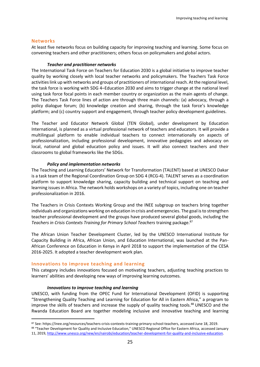#### <span id="page-24-0"></span>**Networks**

 $\overline{a}$ 

At least five networks focus on building capacity for improving teaching and learning. Some focus on convening teachers and other practitioners; others focus on policymakers and global actors.

#### *Teacher and practitioner networks*

The International Task Force on Teachers for Education 2030 is a global initiative to improve teacher quality by working closely with local teacher networks and policymakers. The Teachers Task Force activities link up with networks and groups of practitioners of international reach. At the regional level, the task force is working with SDG 4–Education 2030 and aims to trigger change at the national level using task force focal points in each member country or organization as the main agents of change. The Teachers Task Force lines of action are through three main channels: (a) advocacy, through a policy dialogue forum; (b) knowledge creation and sharing, through the task force's knowledge platform; and (c) country support and engagement, through teacher policy development guidelines.

The Teacher and Educator Network Global (TEN Global), under development by Education International, is planned as a virtual professional network of teachers and educators. It will provide a multilingual platform to enable individual teachers to connect internationally on aspects of professionalization, including professional development, innovative pedagogies and advocacy on local, national and global education policy and issues. It will also connect teachers and their classrooms to global frameworks like the SDGs.

#### *Policy and implementation networks*

The Teaching and Learning Educators' Network for Transformation (TALENT) based at UNESCO Dakar is a task team of the Regional Coordination Group on SDG 4 (RCG-4). TALENT serves as a coordination platform to support knowledge sharing, capacity building and technical support on teaching and learning issues in Africa. The network holds workshops on a variety of topics, including one on teacher professionalization in 2016.

The Teachers in Crisis Contexts Working Group and the INEE subgroup on teachers bring together individuals and organizations working on education in crisis and emergencies. The goal is to strengthen teacher professional development and the groups have produced several global goods, including the *Teachers in Crisis Contexts Training for Primary School Teachers* training package. 87

The African Union Teacher Development Cluster, led by the UNESCO International Institute for Capacity Building in Africa, African Union, and Education International, was launched at the Pan-African Conference on Education in Kenya in April 2018 to support the implementation of the CESA 2016-2025. It adopted a teacher development work plan.

#### <span id="page-24-1"></span>**Innovations to improve teaching and learning**

This category includes innovations focused on motivating teachers, adjusting teaching practices to learners' abilities and developing new ways of improving learning outcomes.

#### *Innovations to improve teaching and learning*

UNESCO, with funding from the OPEC Fund for International Development (OFID) is supporting "Strengthening Quality Teaching and Learning for Education for All in Eastern Africa," a program to improve the skills of teachers and increase the supply of quality teaching tools.<sup>88</sup> UNESCO and the Rwanda Education Board are together modeling inclusive and innovative teaching and learning

<sup>87</sup> See: https://inee.org/resources/teachers-crisis-contexts-training-primary-school-teachers, accessed June 18, 2019.

<sup>88 &</sup>quot;Teacher Development for Quality and Inclusive Education," UNESCO Regional Office for Eastern Africa, accessed January 11, 2019, [http://www.unesco.org/new/en/nairobi/education/teacher-development-for-quality-and-inclusive-education.](http://www.unesco.org/new/en/nairobi/education/teacher-development-for-quality-and-inclusive-education)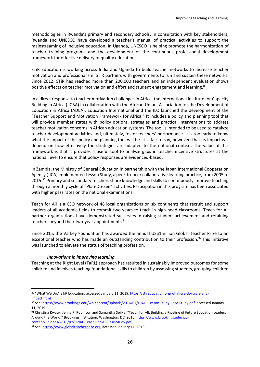methodologies in Rwanda's primary and secondary schools. In consultation with key stakeholders, Rwanda and UNESCO have developed a teacher's manual of practical activities to support the mainstreaming of inclusive education. In Uganda, UNESCO is helping promote the harmonization of teacher training programs and the development of the continuous professional development framework for effective delivery of quality education.

STiR Education is working across India and Uganda to build teacher networks to increase teacher motivation and professionalism. STiR partners with governments to run and sustain these networks. Since 2012, STiR has reached more than 200,000 teachers and an independent evaluation shows positive effects on teacher motivation and effort and student engagement and learning.<sup>89</sup>

In a direct response to teacher motivation challenges in Africa, the International Institute for Capacity Building in Africa (IICBA) in collaboration with the African Union, Association for the Development of Education in Africa (ADEA), Education International and the ILO launched the development of the "Teacher Support and Motivation Framework for Africa." It includes a policy and planning tool that will provide member states with policy options, strategies and practical interventions to address teacher motivation concerns in African education systems. The tool is intended to be used to catalyze teacher development activities and, ultimately, foster teachers' performance. It is too early to know what the impact of this policy and planning tool will be. It is fair to say, however, that its impact will depend on how effectively the strategies are adapted to the national context. The value of this framework is that it provides a useful tool to analyze gaps in teacher incentive structures at the national level to ensure that policy responses are evidenced-based.

In Zambia, the Ministry of General Education in partnership with the Japan International Cooperation Agency (JICA) implemented Lesson Study, a peer-to-peer collaborative learning practice, from 2005 to 2015.<sup>90</sup> Primary and secondary teachers share knowledge and skills to continuously improve teaching through a monthly cycle of "Plan-Do-See" activities. Participation in this program has been associated with higher pass rates on the national examinations.

Teach for All is a CSO network of 48 local organizations on six continents that recruit and support leaders of all academic fields to commit two years to teach in high-need classrooms. Teach for All partner organizations have demonstrated successes in raising student achievement and retaining teachers beyond their two-year appointments.<sup>91</sup>

Since 2015, the Varkey Foundation has awarded the annual US\$1million Global Teacher Prize to an exceptional teacher who has made an outstanding contribution to their profession.<sup>92</sup> This initiative was launched to elevate the status of teaching profession.

#### *Innovations in improving learning*

 $\overline{a}$ 

Teaching at the Right Level (TaRL) approach has resulted in sustainably improved outcomes for some children and involves teaching foundational skills to children by assessing students, grouping children

[content/uploads/2016/07/FINAL-Teach-For-All-Case-Study.pdf.](https://www.brookings.edu/wp-content/uploads/2016/07/FINAL-Teach-For-All-Case-Study.pdf)

<sup>89 &</sup>quot;What We Do," STiR Education, accessed January 11, 2019, [https://stireducation.org/what-we-do/scale-and](https://stireducation.org/what-we-do/scale-and-impact.html)[impact.html.](https://stireducation.org/what-we-do/scale-and-impact.html)

<sup>90</sup> See[: https://www.brookings.edu/wp-content/uploads/2016/07/FINAL-Lesson-Study-Case-Study.pdf,](https://www.brookings.edu/wp-content/uploads/2016/07/FINAL-Lesson-Study-Case-Study.pdf) accessed January 11, 2019.

<sup>91</sup> Christina Kwauk, Jenny P. Robinson and Samantha Spilka, "Teach for All: Building a Pipeline of Future Education Leaders Around the World," Brookings Institution, Washington, DC, 2016, [https://www.brookings.edu/wp-](https://www.brookings.edu/wp-content/uploads/2016/07/FINAL-Teach-For-All-Case-Study.pdf)

<sup>92</sup> See: [https://www.globalteacherprize.org,](https://www.globalteacherprize.org/) accessed January 11, 2019.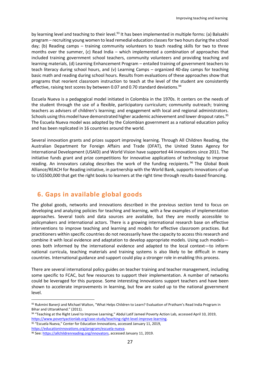by learning level and teaching to their level.<sup>93</sup> It has been implemented in multiple forms: (a) Balsakhi program – recruiting young women to lead remedial education classes for two hours during the school day; (b) Reading camps – training community volunteers to teach reading skills for two to three months over the summer, (c) Read India – which implemented a combination of approaches that included training government school teachers, community volunteers and providing teaching and learning materials, (d) Learning Enhancement Program – entailed training of government teachers to teach literacy during school hours, and (v) Learning Camps – organized 40-day camps for teaching basic math and reading during school hours. Results from evaluations of these approaches show that programs that reorient classroom instruction to teach at the level of the student are consistently effective, raising test scores by between 0.07 and 0.70 standard deviations.<sup>94</sup>

Escuela Nueva is a pedagogical model initiated in Colombia in the 1970s. It centers on the needs of the student through the use of a flexible, participatory curriculum; community outreach; training teachers as advisers of children's learning; and engagement with local and regional administrators. Schools using this model have demonstrated higher academic achievement and lower dropout rates.<sup>95</sup> The Escuela Nueva model was adopted by the Colombian government as a national education policy and has been replicated in 16 countries around the world.

Several innovation grants and prizes support improving learning. Through All Children Reading, the Australian Department for Foreign Affairs and Trade (DFAT), the United States Agency for International Development (USAID) and World Vision have supported 44 innovations since 2011. The initiative funds grant and prize competitions for innovative applications of technology to improve reading. An [innovators catalog](https://allchildrenreading.org/innovators/) describes the work of the funding recipients.<sup>96</sup> The Global Book Alliance/REACH for Reading initiative, in partnership with the World Bank, supports innovations of up to US\$500,000 that get the right books to learners at the right time through results-based financing.

## <span id="page-26-0"></span>**6. Gaps in available global goods**

The global goods, networks and innovations described in the previous section tend to focus on developing and analyzing policies for teaching and learning, with a few examples of implementation approaches. Several tools and data sources are available, but they are mostly accessible to policymakers and international actors. There is a growing international research base on effective interventions to improve teaching and learning and models for effective classroom practices. But practitioners within specific countries do not necessarily have the capacity to access this research and combine it with local evidence and adaptation to develop appropriate models. Using such models ones both informed by the international evidence and adapted to the local context—to inform national curricula, teaching materials and training systems is also likely to be difficult in many countries. International guidance and support could play a stronger role in enabling this process.

There are several international policy guides on teacher training and teacher management, including some specific to FCAC, but few resources to support their implementation. A number of networks could be leveraged for this purpose. Some interesting innovations support teachers and have been shown to accelerate improvements in learning, but few are scaled up to the national government level.

95 "Escuela Nueva," Center for Education Innovations, accessed January 11, 2019, [https://educationinnovations.org/program/escuela-nueva.](https://educationinnovations.org/program/escuela-nueva)

<sup>93</sup> Rukmini Banerji and Michael Walton, "What Helps Children to Learn? Evaluation of Pratham's Read India Program in Bihar and Uttarakhand." (2011).

<sup>94 &</sup>quot;Teaching at the Right Level to Improve Learning," Abdul Latif Jameel Poverty Action Lab, accessed April 10, 2019, [https://www.povertyactionlab.org/case-study/teaching-right-level-improve-learning.](https://www.povertyactionlab.org/case-study/teaching-right-level-improve-learning)

<sup>96</sup> See[: https://allchildrenreading.org/innovators,](https://allchildrenreading.org/innovators) accessed January 11, 2019.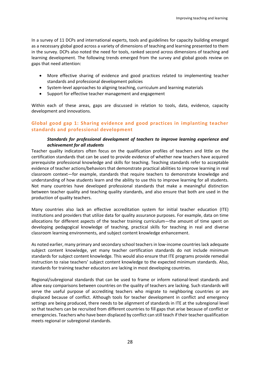In a survey of 11 DCPs and international experts, tools and guidelines for capacity building emerged as a necessary global good across a variety of dimensions of teaching and learning presented to them in the survey. DCPs also noted the need for tools, ranked second across dimensions of teaching and learning development. The following trends emerged from the survey and global goods review on gaps that need attention:

- More effective sharing of evidence and good practices related to implementing teacher standards and professional development policies
- System-level approaches to aligning teaching, curriculum and learning materials
- Support for effective teacher management and engagement

Within each of these areas, gaps are discussed in relation to tools, data, evidence, capacity development and innovations.

#### <span id="page-27-0"></span>**Global good gap 1: Sharing evidence and good practices in implanting teacher standards and professional development**

#### *Standards for professional development of teachers to improve learning experience and achievement for all students*

Teacher quality indicators often focus on the qualification profiles of teachers and little on the certification standards that can be used to provide evidence of whether new teachers have acquired prerequisite professional knowledge and skills for teaching. Teaching standards refer to acceptable evidence of teacher actions/behaviors that demonstrate practical abilities to improve learning in real classroom context—for example, standards that require teachers to demonstrate knowledge and understanding of how students learn and the ability to use this to improve learning for all students. Not many countries have developed professional standards that make a meaningful distinction between teacher quality and teaching quality standards, and also ensure that both are used in the production of quality teachers.

Many countries also lack an effective accreditation system for initial teacher education (ITE) institutions and providers that utilize data for quality assurance purposes. For example, data on time allocations for different aspects of the teacher training curriculum—the amount of time spent on developing pedagogical knowledge of teaching, practical skills for teaching in real and diverse classroom learning environments, and subject content knowledge enhancement.

As noted earlier, many primary and secondary school teachers in low-income countries lack adequate subject content knowledge, yet many teacher certification standards do not include minimum standards for subject content knowledge. This would also ensure that ITE programs provide remedial instruction to raise teachers' subject content knowledge to the expected minimum standards. Also, standards for training teacher educators are lacking in most developing countries.

Regional/subregional standards that can be used to frame or inform national-level standards and allow easy comparisons between countries on the quality of teachers are lacking. Such standards will serve the useful purpose of accrediting teachers who migrate to neighboring countries or are displaced because of conflict. Although tools for teacher development in conflict and emergency settings are being produced, there needs to be alignment of standards in ITE at the subregional level so that teachers can be recruited from different countries to fill gaps that arise because of conflict or emergencies. Teachers who have been displaced by conflict can still teach if their teacher qualification meets regional or subregional standards.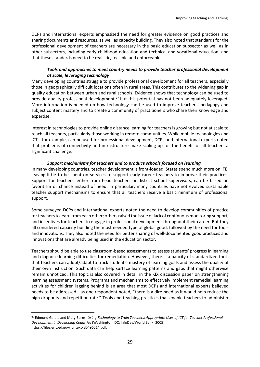DCPs and international experts emphasized the need for greater evidence on good practices and sharing documents and resources, as well as capacity building. They also noted that standards for the professional development of teachers are necessary in the basic education subsector as well as in other subsectors, including early childhood education and technical and vocational education, and that these standards need to be realistic, feasible and enforceable.

#### *Tools and approaches to meet country needs to provide teacher professional development at scale, leveraging technology*

Many developing countries struggle to provide professional development for all teachers, especially those in geographically difficult locations often in rural areas. This contributes to the widening gap in quality education between urban and rural schools. Evidence shows that technology can be used to provide quality professional development, <sup>97</sup> but this potential has not been adequately leveraged. More information is needed on how technology can be used to improve teachers' pedagogy and subject content mastery and to create a community of practitioners who share their knowledge and expertise.

Interest in technologies to provide online distance learning for teachers is growing but not at scale to reach all teachers, particularly those working in remote communities. While mobile technologies and ICTs, for example, can be used for professional development, DCPs and international experts noted that problems of connectivity and infrastructure make scaling up for the benefit of all teachers a significant challenge.

#### *Support mechanisms for teachers and to produce schools focused on learning*

In many developing countries, teacher development is front-loaded. States spend much more on ITE, leaving little to be spent on services to support early career teachers to improve their practices. Support for teachers, either from head teachers or district school supervisors, can be based on favoritism or chance instead of need. In particular, many countries have not evolved sustainable teacher support mechanisms to ensure that all teachers receive a basic minimum of professional support.

Some surveyed DCPs and international experts noted the need to develop communities of practice for teachers to learn from each other; others raised the issue of lack of continuous monitoring support, and incentives for teachers to engage in professional development throughout their career. But they all considered capacity building the most needed type of global good, followed by the need for tools and innovations. They also noted the need for better sharing of well-documented good practices and innovations that are already being used in the education sector.

Teachers should be able to use classroom-based assessments to assess students' progress in learning and diagnose learning difficulties for remediation. However, there is a paucity of standardized tools that teachers can adopt/adapt to track students' mastery of learning goals and assess the quality of their own instruction. Such data can help surface learning patterns and gaps that might otherwise remain unnoticed. This topic is also covered in detail in the KIX discussion paper on strengthening learning assessment systems. Programs and mechanisms to effectively implement remedial learning activities for children lagging behind is an area that most DCPs and international experts believed needs to be addressed—as one respondent noted, "there is a dire need as it would help reduce the high dropouts and repetition rate." Tools and teaching practices that enable teachers to administer

l

<sup>97</sup> Edmond Gaible and Mary Burns, *Using Technology to Train Teachers: Appropriate Uses of ICT for Teacher Professional Development in Developing Countries* (Washington, DC: infoDev/World Bank, 2005), [https://files.eric.ed.gov/fulltext/ED496514.pdf.](https://files.eric.ed.gov/fulltext/ED496514.pdf)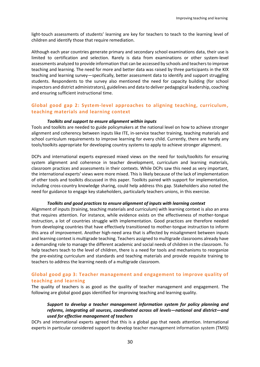light-touch assessments of students' learning are key for teachers to teach to the learning level of children and identify those that require remediation.

Although each year countries generate primary and secondary school examinations data, their use is limited to certification and selection. Rarely is data from examinations or other system-level assessments analyzed to provide information that can be accessed by schools and teachers to improve teaching and learning. The need for more and better data was raised by three participants in the KIX teaching and learning survey—specifically, better assessment data to identify and support struggling students. Respondents to the survey also mentioned the need for capacity building (for school inspectors and district administrators), guidelines and data to deliver pedagogical leadership, coaching and ensuring sufficient instructional time.

#### <span id="page-29-0"></span>**Global good gap 2: System-level approaches to aligning teaching, curriculum, teaching materials and learning context**

#### *Toolkits and support to ensure alignment within inputs*

Tools and toolkits are needed to guide policymakers at the national level on how to achieve stronger alignment and coherency between inputs like ITE, in-service teacher training, teaching materials and school curriculum requirements to improve learning for every child. Currently, there are hardly any tools/toolkits appropriate for developing country systems to apply to achieve stronger alignment.

DCPs and international experts expressed mixed views on the need for tools/toolkits for ensuring system alignment and coherence in teacher development, curriculum and learning materials, classroom practices and assessments in their contexts. While DCPs saw this need as very important, the international experts' views were more mixed. This is likely because of the lack of implementation of other tools and toolkits discussed in this paper. Toolkits paired with support for implementation, including cross-country knowledge sharing, could help address this gap. Stakeholders also noted the need for guidance to engage key stakeholders, particularly teachers unions, in this exercise.

#### *Toolkits and good practices to ensure alignment of inputs with learning context*

Alignment of inputs (training, teaching materials and curriculum) with learning context is also an area that requires attention. For instance, while evidence exists on the effectiveness of mother-tongue instruction, a lot of countries struggle with implementation. Good practices are therefore needed from developing countries that have effectively transitioned to mother-tongue instruction to inform this area of improvement. Another high-need area that is affected by misalignment between inputs and learning context is multigrade teaching. Teachers assigned to multigrade classrooms already have a demanding role to manage the different academic and social needs of children in the classroom. To help teachers teach to the level of children, there is a need for tools and mechanisms to reorganize the pre-existing curriculum and standards and teaching materials and provide requisite training to teachers to address the learning needs of a multigrade classroom.

#### <span id="page-29-1"></span>**Global good gap 3: Teacher management and engagement to improve quality of teaching and learning**

The quality of teachers is as good as the quality of teacher management and engagement. The following are global good gaps identified for improving teaching and learning quality.

#### *Support to develop a teacher management information system for policy planning and reforms, integrating all sources, coordinated across all levels—national and district—and used for effective management of teachers*

DCPs and international experts agreed that this is a global gap that needs attention. International experts in particular considered support to develop teacher management information system (TMIS)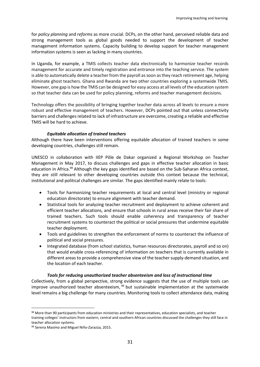for *policy planning* and *reforms* as more crucial. DCPs, on the other hand, perceived reliable data and strong management tools as global goods needed to support the development of teacher management information systems. Capacity building to develop support for teacher management information systems is seen as lacking in many countries.

In Uganda, for example, a TMIS collects teacher data electronically to harmonize teacher records management for accurate and timely registration and entrance into the teaching service. The system is able to automatically delete a teacher from the payroll as soon as they reach retirement age, helping eliminate ghost teachers. Ghana and Rwanda are two other countries exploring a systemwide TMIS. However, one gap is how the TMIS can be designed for easy access at all levels of the education system so that teacher data can be used for policy planning, reforms and teacher management decisions.

Technology offers the possibility of bringing together teacher data across all levels to ensure a more robust and effective management of teachers. However, DCPs pointed out that unless connectivity barriers and challenges related to lack of infrastructure are overcome, creating a reliable and effective TMIS will be hard to achieve.

#### *Equitable allocation of trained teachers*

Although there have been interventions offering equitable allocation of trained teachers in some developing countries, challenges still remain.

UNESCO in collaboration with IIEP Pôle de Dakar organized a Regional Workshop on Teacher Management in May 2017, to discuss challenges and gaps in effective teacher allocation in basic education in Africa.<sup>98</sup> Although the key gaps identified are based on the Sub-Saharan Africa context, they are still relevant to other developing countries outside this context because the technical, institutional and political challenges are similar. The gaps identified mainly relate to tools:

- Tools for harmonizing teacher requirements at local and central level (ministry or regional education directorate) to ensure alignment with teacher demand.
- Statistical tools for analyzing teacher recruitment and deployment to achieve coherent and efficient teacher allocations, and ensure that schools in rural areas receive their fair share of trained teachers. Such tools should enable coherency and transparency of teacher recruitment systems to counteract the political or social pressures that undermine equitable teacher deployment.
- Tools and guidelines to strengthen the enforcement of norms to counteract the influence of political and social pressures.
- Integrated database (from school statistics, human resources directorates, payroll and so on) that would enable cross-referencing of information on teachers that is currently available in different areas to provide a comprehensive view of the teacher supply-demand situation, and the location of each teacher.

#### *Tools for reducing unauthorized teacher absenteeism and loss of instructional time*

Collectively, from a global perspective, strong evidence suggests that the use of multiple tools can improve unauthorized teacher absenteeism, <sup>99</sup> but sustainable implementation at the systemwide level remains a big challenge for many countries. Monitoring tools to collect attendance data, making

<sup>98</sup> More than 90 participants from education ministries and their representatives, education specialists, and teacher training colleges' instructors from eastern, central and southern African countries discussed the challenges they still face in teacher allocation systems.

<sup>99</sup> Serena Masimo and Miguel Niño-Zarazúa, 2015.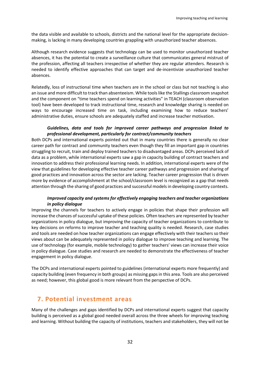the data visible and available to schools, districts and the national level for the appropriate decisionmaking, is lacking in many developing countries grappling with unauthorized teacher absences.

Although research evidence suggests that technology can be used to monitor unauthorized teacher absences, it has the potential to create a surveillance culture that communicates general mistrust of the profession, affecting all teachers irrespective of whether they are regular attenders. Research is needed to identify effective approaches that can target and de-incentivize unauthorized teacher absences.

Relatedly, loss of instructional time when teachers are in the school or class but not teaching is also an issue and more difficult to track than absenteeism. While tools like the Stallings classroom snapshot and the component on "time teachers spend on learning activities" in TEACH (classroom observation tool) have been developed to track instructional time, research and knowledge sharing is needed on ways to encourage increased time on task, including examining how to reduce teachers' administrative duties, ensure schools are adequately staffed and increase teacher motivation.

#### *Guidelines, data and tools for improved career pathways and progression linked to professional development, particularly for contract/community teachers*

Both DCPs and international experts pointed out that in many countries there is generally no clear career path for contract and community teachers even though they fill an important gap in countries struggling to recruit, train and deploy trained teachers to disadvantaged areas. DCPs perceived lack of data as a problem, while international experts saw a gap in capacity building of contract teachers and innovation to address their professional learning needs. In addition, international experts were of the view that guidelines for developing effective teacher career pathways and progression and sharing of good practices and innovation across the sector are lacking. Teacher career progression that is driven more by evidence of accomplishment at the school/classroom level is recognized as a gap that needs attention through the sharing of good practices and successful models in developing country contexts.

#### *Improved capacity and systems for effectively engaging teachers and teacher organizations in policy dialogue*

Improving the channels for teachers to actively engage in policies that shape their profession will increase the chances of successful uptake of these policies. Often teachers are represented by teacher organizations in policy dialogue, but improving the capacity of teacher organizations to contribute to key decisions on reforms to improve teacher and teaching quality is needed. Research, case studies and tools are needed on how teacher organizations can engage effectively with their teachers so their views about can be adequately represented in policy dialogue to improve teaching and learning. The use of technology (for example, mobile technology) to gather teachers' views can increase their voice in policy dialogue. Case studies and research are needed to demonstrate the effectiveness of teacher engagement in policy dialogue.

The DCPs and international experts pointed to guidelines (international experts more frequently) and capacity building (even frequency in both groups) as missing gaps in this area. Tools are also perceived as need; however, this global good is more relevant from the perspective of DCPs.

## <span id="page-31-0"></span>**7. Potential investment areas**

Many of the challenges and gaps identified by DCPs and international experts suggest that capacity building is perceived as a global good needed overall across the three wheels for improving teaching and learning. Without building the capacity of institutions, teachers and stakeholders, they will not be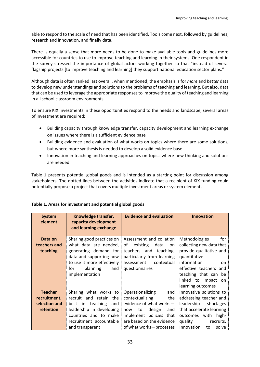able to respond to the scale of need that has been identified. Tools come next, followed by guidelines, research and innovation, and finally data.

There is equally a sense that more needs to be done to make available tools and guidelines more accessible for countries to use to improve teaching and learning in their systems. One respondent in the survey stressed the importance of global actors working together so that "instead of several flagship projects [to improve teaching and learning] they support national education sector plans."

Although data is often ranked last overall, when mentioned, the emphasis is for *more* and *better* data to develop new understandings and solutions to the problems of teaching and learning. But also, data that can be used to leverage the appropriate responses to improve the quality of teaching and learning in all school classroom environments.

To ensure KIX investments in these opportunities respond to the needs and landscape, several areas of investment are required:

- Building capacity through knowledge transfer, capacity development and learning exchange on issues where there is a sufficient evidence base
- Building evidence and evaluation of what works on topics where there are some solutions, but where more synthesis is needed to develop a solid evidence base
- Innovation in teaching and learning approaches on topics where new thinking and solutions are needed

Table 1 presents potential global goods and is intended as a starting point for discussion among stakeholders. The dotted lines between the activities indicate that a recipient of KIX funding could potentially propose a project that covers multiple investment areas or system elements.

| <b>System</b><br>element                                     | Knowledge transfer,<br>capacity development<br>and learning exchange                                                                                                             | <b>Evidence and evaluation</b>                                                                                                                                                                | <b>Innovation</b>                                                                                                                                                                                                        |
|--------------------------------------------------------------|----------------------------------------------------------------------------------------------------------------------------------------------------------------------------------|-----------------------------------------------------------------------------------------------------------------------------------------------------------------------------------------------|--------------------------------------------------------------------------------------------------------------------------------------------------------------------------------------------------------------------------|
| Data on<br>teachers and<br>teaching                          | Sharing good practices on<br>what data are needed,<br>generating demand for<br>data and supporting how<br>to use it more effectively<br>for<br>planning<br>and<br>implementation | Assessment and collation<br>of<br>existing<br>data<br>on<br>teachers and teaching,<br>particularly from learning<br>contextual<br>assessment<br>questionnaires                                | <b>Methodologies</b><br>for<br>collecting new data that<br>provide qualitative and<br>quantitative<br>information<br>on<br>effective teachers and<br>teaching that can be<br>linked to impact<br>on<br>learning outcomes |
| <b>Teacher</b><br>recruitment,<br>selection and<br>retention | Sharing what works to<br>recruit and retain the<br>best in teaching<br>and<br>leadership in developing<br>countries and to make<br>recruitment accountable<br>and transparent    | Operationalizing<br>and<br>contextualizing<br>the<br>evidence of what works-<br>design<br>to<br>how<br>and<br>implement policies that<br>are based on the evidence<br>of what works-processes | Innovative solutions to<br>addressing teacher and<br>leadership<br>shortages<br>that accelerate learning<br>outcomes with high-<br>quality<br>recruits.<br>Innovation<br>solve<br>to                                     |

#### **Table 1. Areas for investment and potential global goods**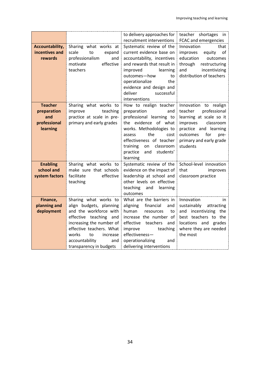|                 |                           | to delivery approaches for<br>recruitment interventions | teacher shortages in<br>FCAC and emergencies |
|-----------------|---------------------------|---------------------------------------------------------|----------------------------------------------|
|                 |                           |                                                         |                                              |
| Accountability, | Sharing what works at     | Systematic review of the                                | that<br>Innovation                           |
| incentives and  | scale<br>to<br>expand     | current evidence base on                                | improves<br>equity<br>οf                     |
| rewards         | professionalism<br>and    | accountability, incentives                              | education<br>outcomes                        |
|                 | effective<br>motivate     | and rewards that result in                              | through<br>restructuring                     |
|                 | teachers                  | improved<br>learning                                    | and<br>incentivizing                         |
|                 |                           | outcomes-how<br>to                                      | distribution of teachers                     |
|                 |                           | operationalize<br>the                                   |                                              |
|                 |                           | evidence and design and                                 |                                              |
|                 |                           | deliver<br>successful                                   |                                              |
|                 |                           | interventions                                           |                                              |
| <b>Teacher</b>  | Sharing what works to     | How to realign teacher                                  | Innovation to realign                        |
| preparation     | improve<br>teaching       | preparation<br>and                                      | professional<br>teacher                      |
| and             | practice at scale in pre- | professional learning to                                | learning at scale so it                      |
| professional    | primary and early grades  | the evidence of what                                    | classroom<br>improves                        |
| learning        |                           | works. Methodologies to                                 | practice and learning                        |
|                 |                           | the<br>cost<br>assess                                   | for<br>outcomes<br>pre-                      |
|                 |                           | effectiveness of teacher                                | primary and early grade                      |
|                 |                           | classroom<br>training<br>on                             | students                                     |
|                 |                           | practice<br>and<br>students'                            |                                              |
|                 |                           | learning                                                |                                              |
| <b>Enabling</b> | Sharing what works to     | Systematic review of the                                | School-level innovation                      |
| school and      | make sure that schools    | evidence on the impact of                               | that<br>improves                             |
| system factors  | effective<br>facilitate   | leadership at school and                                | classroom practice                           |
|                 | teaching                  | other levels on effective                               |                                              |
|                 |                           | teaching and learning                                   |                                              |
|                 |                           | outcomes                                                |                                              |
| Finance,        | Sharing what works to     | What are the barriers in                                | Innovation<br>in                             |
| planning and    | align budgets, planning   | aligning<br>financial<br>and                            | sustainably<br>attracting                    |
| deployment      | and the workforce with    | human<br>resources<br>to                                | and incentivizing the                        |
|                 | effective teaching and    | increase the number of                                  | best teachers to the                         |
|                 | increasing the number of  | effective teachers<br>and                               | locations and grades                         |
|                 | effective teachers. What  | improve<br>teaching                                     | where they are needed                        |
|                 | works<br>to<br>increase   | effectiveness-                                          | the most                                     |
|                 | accountability<br>and     | operationalizing<br>and                                 |                                              |
|                 | transparency in budgets   | delivering interventions                                |                                              |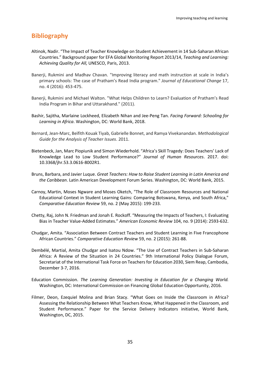## **Bibliography**

- Altinok, Nadir. "The Impact of Teacher Knowledge on Student Achievement in 14 Sub-Saharan African Countries." Background paper for EFA Global Monitoring Report 2013/14, *Teaching and Learning: Achieving Quality for All,* UNESCO, Paris, 2013.
- Banerji, Rukmini and Madhav Chavan. "Improving literacy and math instruction at scale in India's primary schools: The case of Pratham's Read India program." *Journal of Educational Change* 17, no. 4 (2016): 453-475.
- Banerji, Rukmini and Michael Walton. "What Helps Children to Learn? Evaluation of Pratham's Read India Program in Bihar and Uttarakhand." (2011).
- Bashir, Sajitha, Marlaine Lockheed, Elizabeth Nihan and Jee-Peng Tan. *Facing Forward: Schooling for Learning in Africa*. Washington, DC: World Bank, 2018.
- Bernard, Jean-Marc, Beïfith Kouak Tiyab, Gabrielle Bonnet, and Ramya Vivekanandan. *Methodological Guide for the Analysis of Teacher Issues*. 2011.
- Bietenbeck, Jan, Marc Piopiunik and Simon Wiederhold. "Africa's Skill Tragedy: Does Teachers' Lack of Knowledge Lead to Low Student Performance?" *Journal of Human Resources*. 2017. doi: 10.3368/jhr.53.3.0616-8002R1.
- Bruns, Barbara, and Javier Luque. *Great Teachers: How to Raise Student Learning in Latin America and the Caribbean*. Latin American Development Forum Series. Washington, DC: World Bank, 2015.
- Carnoy, Martin, Moses Ngware and Moses Oketch, "The Role of Classroom Resources and National Educational Context in Student Learning Gains: Comparing Botswana, Kenya, and South Africa," *Comparative Education Review* 59, no. 2 (May 2015): 199-233.
- Chetty, Raj, John N. Friedman and Jonah E. Rockoff. "Measuring the Impacts of Teachers, I: Evaluating Bias in Teacher Value-Added Estimates." *American Economic Review* 104, no. 9 (2014): 2593-632.
- Chudgar, Amita. "Association Between Contract Teachers and Student Learning in Five Francophone African Countries." *Comparative Education Review* 59, no. 2 (2015): 261-88.
- Dembélé, Martial, Amita Chudgar and Isatou Ndow. "The Use of Contract Teachers in Sub-Saharan Africa: A Review of the Situation in 24 Countries." 9th International Policy Dialogue Forum, Secretariat of the International Task Force on Teachers for Education 2030, Siem Reap, Cambodia, December 3-7, 2016.
- Education Commission. *The Learning Generation: Investing in Education for a Changing World.*  Washington, DC: International Commission on Financing Global Education Opportunity, 2016.
- Filmer, Deon, Ezequiel Molina and Brian Stacy. "What Goes on Inside the Classroom in Africa? Assessing the Relationship Between What Teachers Know, What Happened in the Classroom, and Student Performance." Paper for the Service Delivery Indicators initiative, World Bank, Washington, DC, 2015.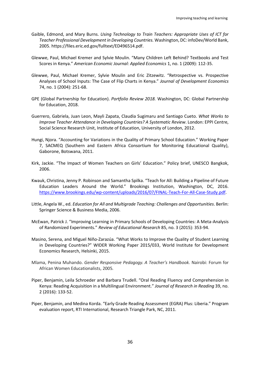- Gaible, Edmond, and Mary Burns. *Using Technology to Train Teachers: Appropriate Uses of ICT for Teacher Professional Development in Developing Countries.* Washington, DC: infoDev/World Bank, 2005. [https://files.eric.ed.gov/fulltext/ED496514.pdf.](https://files.eric.ed.gov/fulltext/ED496514.pdf)
- Glewwe, Paul, Michael Kremer and Sylvie Moulin. "Many Children Left Behind? Textbooks and Test Scores in Kenya." *American Economic Journal: Applied Economics* 1, no. 1 (2009): 112-35.
- Glewwe, Paul, Michael Kremer, Sylvie Moulin and Eric Zitzewitz. "Retrospective vs. Prospective Analyses of School Inputs: The Case of Flip Charts in Kenya." *Journal of Development Economics* 74, no. 1 (2004): 251-68.
- GPE (Global Partnership for Education). *Portfolio Review 2018.* Washington, DC: Global Partnership for Education, 2018.
- Guerrero, Gabriela, Juan Leon, Mayli Zapata, Claudia Sugimaru and Santiago Cueto. *What Works to Improve Teacher Attendance in Developing Countries? A Systematic Review*. London: EPPI Centre, Social Science Research Unit, Institute of Education, University of London, 2012.
- Hungi, Njora. "Accounting for Variations in the Quality of Primary School Education." Working Paper 7, SACMEQ (Southern and Eastern Africa Consortium for Monitoring Educational Quality), Gaborone, Botswana, 2011.
- Kirk, Jackie. "The Impact of Women Teachers on Girls' Education." Policy brief, UNESCO Bangkok, 2006.
- Kwauk, Christina, Jenny P. Robinson and Samantha Spilka. "Teach for All: Building a Pipeline of Future Education Leaders Around the World." Brookings Institution, Washington, DC, 2016. [https://www.brookings.edu/wp-content/uploads/2016/07/FINAL-Teach-For-All-Case-Study.pdf.](https://www.brookings.edu/wp-content/uploads/2016/07/FINAL-Teach-For-All-Case-Study.pdf)
- Little, Angela W., ed. *Education for All and Multigrade Teaching: Challenges and Opportunities*. Berlin: Springer Science & Business Media, 2006.
- McEwan, Patrick J. "Improving Learning in Primary Schools of Developing Countries: A Meta-Analysis of Randomized Experiments." *Review of Educational Research* 85, no. 3 (2015): 353-94.
- Masino, Serena, and Miguel Niño-Zarazúa. "What Works to Improve the Quality of Student Learning in Developing Countries?" WIDER Working Paper 2015/033, World Institute for Development Economics Research, Helsinki, 2015.
- Mlama, Penina Muhando. *Gender Responsive Pedagogy. A Teacher's Handbook.* Nairobi: Forum for African Women Educationalists, 2005*.*
- Piper, Benjamin, Leila Schroeder and Barbara Trudell. "Oral Reading Fluency and Comprehension in Kenya: Reading Acquisition in a Multilingual Environment." *Journal of Research in Reading* 39, no. 2 (2016): 133-52.
- Piper, Benjamin, and Medina Korda. "Early Grade Reading Assessment (EGRA) Plus: Liberia." Program evaluation report, RTI International, Research Triangle Park, NC, 2011.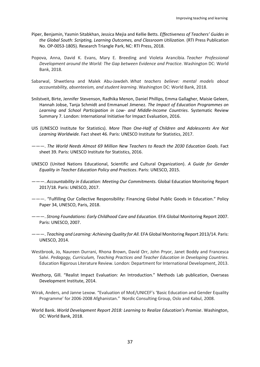- Piper, Benjamin, Yasmin Sitabkhan, Jessica Mejia and Kellie Betts. *Effectiveness of Teachers' Guides in the Global South: Scripting, Learning Outcomes, and Classroom Utilization*. (RTI Press Publication No. OP-0053-1805). Research Triangle Park, NC: RTI Press, 2018.
- Popova, Anna, David K. Evans, Mary E. Breeding and Violeta Arancibia. *Teacher Professional Development around the World: The Gap between Evidence and Practice*. Washington DC: World Bank, 2018.
- Sabarwal, Shwetlena and Malek Abu-Jawdeh. *What teachers believe: mental models about accountability, absenteeism, and student learning*. Washington DC: World Bank, 2018.
- Snilstveit, Birte, Jennifer Stevenson, Radhika Menon, Daniel Phillips, Emma Gallagher, Maisie Geleen, Hannah Jobse, Tanja Schmidt and Emmanuel Jimenez. *The Impact of Education Programmes on Learning and School Participation in Low- and Middle-Income Countries*. Systematic Review Summary 7. London: International Initiative for Impact Evaluation, 2016.
- UIS (UNESCO Institute for Statistics). *More Than One-Half of Children and Adolescents Are Not Learning Worldwide.* Fact sheet 46. Paris: UNESCO Institute for Statistics, 2017.
- ———. *The World Needs Almost 69 Million New Teachers to Reach the 2030 Education Goals.* Fact sheet 39. Paris: UNESCO Institute for Statistics, 2016.
- UNESCO (United Nations Educational, Scientific and Cultural Organization). *A Guide for Gender Equality in Teacher Education Policy and Practices*. Paris: UNESCO, 2015.
- ———. *Accountability in Education: Meeting Our Commitments.* Global Education Monitoring Report 2017/18. Paris: UNESCO, 2017.
- ———. "Fulfilling Our Collective Responsibility: Financing Global Public Goods in Education." Policy Paper 34, UNESCO, Paris, 2018.
- ———. *Strong Foundations: Early Childhood Care and Education*. EFA Global Monitoring Report 2007. Paris: UNESCO, 2007.
- ———. *Teaching and Learning: Achieving Quality for All.* EFA Global Monitoring Report 2013/14. Paris: UNESCO, 2014.
- Westbrook, Jo, Naureen Durrani, Rhona Brown, David Orr, John Pryor, Janet Boddy and Francesca Salvi. *Pedagogy, Curriculum, Teaching Practices and Teacher Education in Developing Countries*. Education Rigorous Literature Review. London: Department for International Development, 2013.
- Westhorp, Gill. "Realist Impact Evaluation: An Introduction." Methods Lab publication, Overseas Development Institute, 2014.
- Wirak, Anders, and Janne Lexow. "Evaluation of MoE/UNICEF's 'Basic Education and Gender Equality Programme' for 2006-2008 Afghanistan." Nordic Consulting Group, Oslo and Kabul, 2008.
- World Bank. *World Development Report 2018: Learning to Realize Education's Promise*. Washington, DC: World Bank, 2018.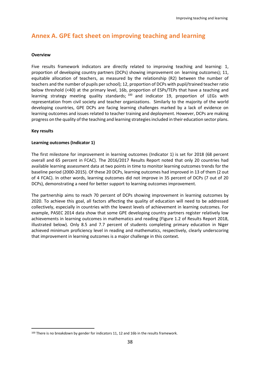## <span id="page-37-0"></span>**Annex A. GPE fact sheet on improving teaching and learning**

#### **Overview**

Five results framework indicators are directly related to improving teaching and learning: 1, proportion of developing country partners (DCPs) showing improvement on learning outcomes); 11, equitable allocation of teachers, as measured by the relationship (R2) between the number of teachers and the number of pupils per school); 12, proportion of DCPs with pupil/trained teacher ratio below threshold (<40) at the primary level, 16b, proportion of ESPs/TEPs that have a teaching and learning strategy meeting quality standards; <sup>100</sup> and indicator 19, proportion of LEGs with representation from civil society and teacher organizations. Similarly to the majority of the world developing countries, GPE DCPs are facing learning challenges marked by a lack of evidence on learning outcomes and issues related to teacher training and deployment. However, DCPs are making progress on the quality of the teaching and learning strategies included in their education sector plans.

#### **Key results**

 $\overline{a}$ 

#### **Learning outcomes (Indicator 1)**

The first milestone for improvement in learning outcomes (Indicator 1) is set for 2018 (68 percent overall and 65 percent in FCAC). The 2016/2017 Results Report noted that only 20 countries had available learning assessment data at two points in time to monitor learning outcomes trends for the baseline period (2000-2015). Of these 20 DCPs, learning outcomes had improved in 13 of them (2 out of 4 FCAC). In other words, learning outcomes did not improve in 35 percent of DCPs (7 out of 20 DCPs), demonstrating a need for better support to learning outcomes improvement.

The partnership aims to reach 70 percent of DCPs showing improvement in learning outcomes by 2020. To achieve this goal, all factors affecting the quality of education will need to be addressed collectively, especially in countries with the lowest levels of achievement in learning outcomes. For example, PASEC 2014 data show that some GPE developing country partners register relatively low achievements in learning outcomes in mathematics and reading (Figure 1.2 of Results Report 2018, illustrated below). Only 8.5 and 7.7 percent of students completing primary education in Niger achieved minimum proficiency level in reading and mathematics, respectively, clearly underscoring that improvement in learning outcomes is a major challenge in this context.

<sup>&</sup>lt;sup>100</sup> There is no breakdown by gender for indicators 11, 12 and 16b in the results framework.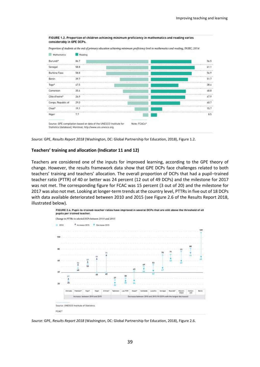



#### **Teachers' training and allocation (Indicator 11 and 12)**

Teachers are considered one of the inputs for improved learning, according to the GPE theory of change. However, the results framework data show that GPE DCPs face challenges related to both teachers' training and teachers' allocation. The overall proportion of DCPs that had a pupil–trained teacher ratio (PTTR) of 40 or better was 24 percent (12 out of 49 DCPs) and the milestone for 2017 was not met. The corresponding figure for FCAC was 15 percent (3 out of 20) and the milestone for 2017 was also not met. Looking at longer-term trends at the country level, PTTRs in five out of 18 DCPs with data available deteriorated between 2010 and 2015 (see Figure 2.6 of the Results Report 2018, illustrated below).



*Source:* GPE, *Results Report 2018* (Washington, DC: Global Partnership for Education, 2018), Figure 2.6.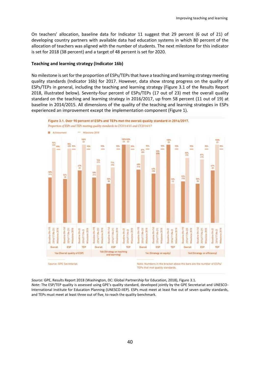On teachers' allocation, baseline data for Indicator 11 suggest that 29 percent (6 out of 21) of developing country partners with available data had education systems in which 80 percent of the allocation of teachers was aligned with the number of students. The next milestone for this indicator is set for 2018 (38 percent) and a target of 48 percent is set for 2020.

#### **Teaching and learning strategy (Indicator 16b)**

No milestone is set for the proportion of ESPs/TEPs that have a teaching and learning strategy meeting quality standards (Indicator 16b) for 2017. However, data show strong progress on the quality of ESPs/TEPs in general, including the teaching and learning strategy (Figure 3.1 of the Results Report 2018, illustrated below). Seventy-four percent of ESPs/TEPs (17 out of 23) met the overall quality standard on the teaching and learning strategy in 2016/2017, up from 58 percent (11 out of 19) at baseline in 2014/2015. All dimensions of the quality of the teaching and learning strategies in ESPs experienced an improvement except the implementation component (Figure 1).



*Source:* GPE, Results Report 2018 (Washington, DC: Global Partnership for Education, 2018), Figure 3.1.

*Note:* The ESP/TEP quality is assessed using GPE's quality standard, developed jointly by the GPE Secretariat and UNESCO-International Institute for Education Planning (UNESCO-IIEP). ESPs must meet at least five out of seven quality standards, and TEPs must meet at least three out of five, to reach the quality benchmark.